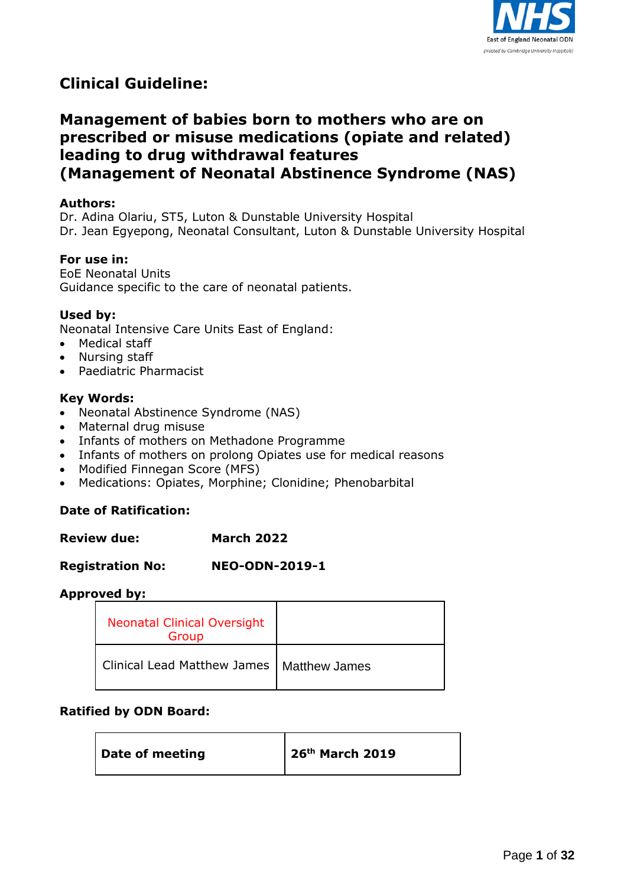

# **Clinical Guideline:**

# **Management of babies born to mothers who are on prescribed or misuse medications (opiate and related) leading to drug withdrawal features (Management of Neonatal Abstinence Syndrome (NAS)**

#### **Authors:**

Dr. Adina Olariu, ST5, Luton & Dunstable University Hospital Dr. Jean Egyepong, Neonatal Consultant, Luton & Dunstable University Hospital

#### **For use in:**

EoE Neonatal Units Guidance specific to the care of neonatal patients.

#### **Used by:**

Neonatal Intensive Care Units East of England:

- Medical staff
- Nursing staff
- Paediatric Pharmacist

#### **Key Words:**

- Neonatal Abstinence Syndrome (NAS)
- Maternal drug misuse
- Infants of mothers on Methadone Programme
- Infants of mothers on prolong Opiates use for medical reasons
- Modified Finnegan Score (MFS)
- Medications: Opiates, Morphine; Clonidine; Phenobarbital

#### **Date of Ratification:**

| <b>Review due:</b> | <b>March 2022</b> |
|--------------------|-------------------|
|--------------------|-------------------|

#### **Registration No: NEO-ODN-2019-1**

#### **Approved by:**

| <b>Neonatal Clinical Oversight</b><br>Group |  |
|---------------------------------------------|--|
| Clinical Lead Matthew James   Matthew James |  |

#### **Ratified by ODN Board:**

| Date of meeting | $\vert$ 26 <sup>th</sup> March 2019 |
|-----------------|-------------------------------------|
|-----------------|-------------------------------------|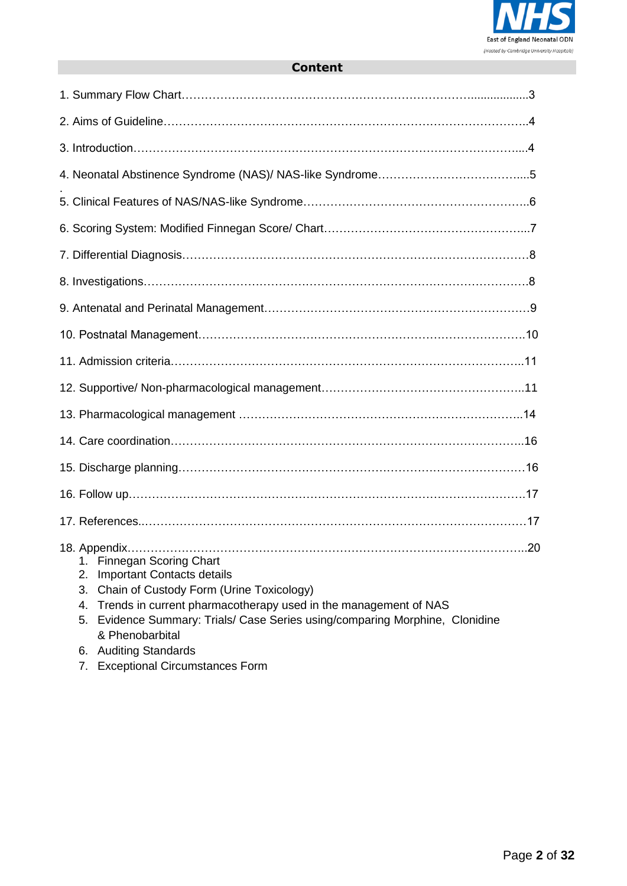

# **Content**

| 1.<br><b>Finnegan Scoring Chart</b><br><b>Important Contacts details</b><br>2.<br>Chain of Custody Form (Urine Toxicology)<br>3.<br>Trends in current pharmacotherapy used in the management of NAS<br>4.<br>Evidence Summary: Trials/ Case Series using/comparing Morphine, Clonidine<br>5.<br>& Phenobarbital |
|-----------------------------------------------------------------------------------------------------------------------------------------------------------------------------------------------------------------------------------------------------------------------------------------------------------------|

- 6. Auditing Standards
- 7. Exceptional Circumstances Form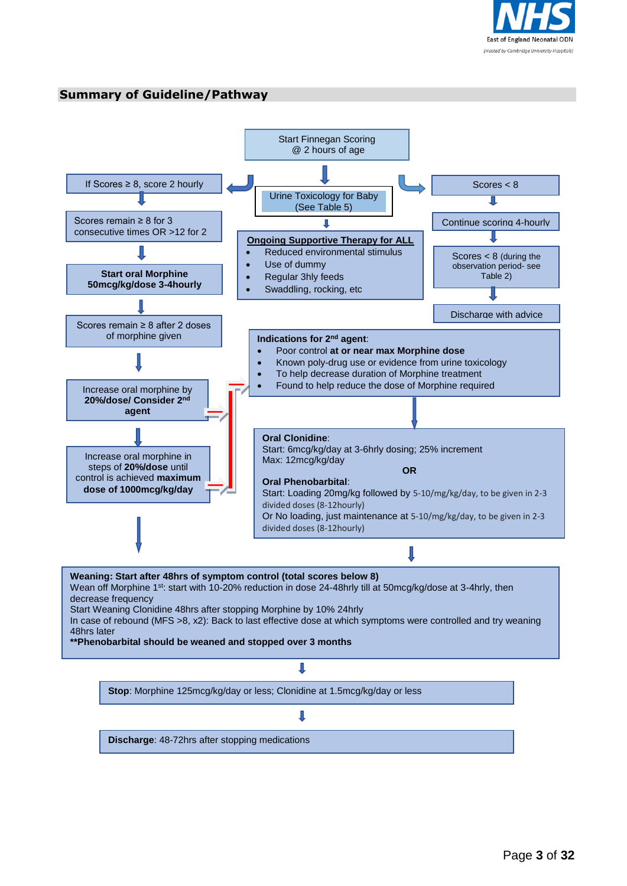

#### **Summary of Guideline/Pathway**

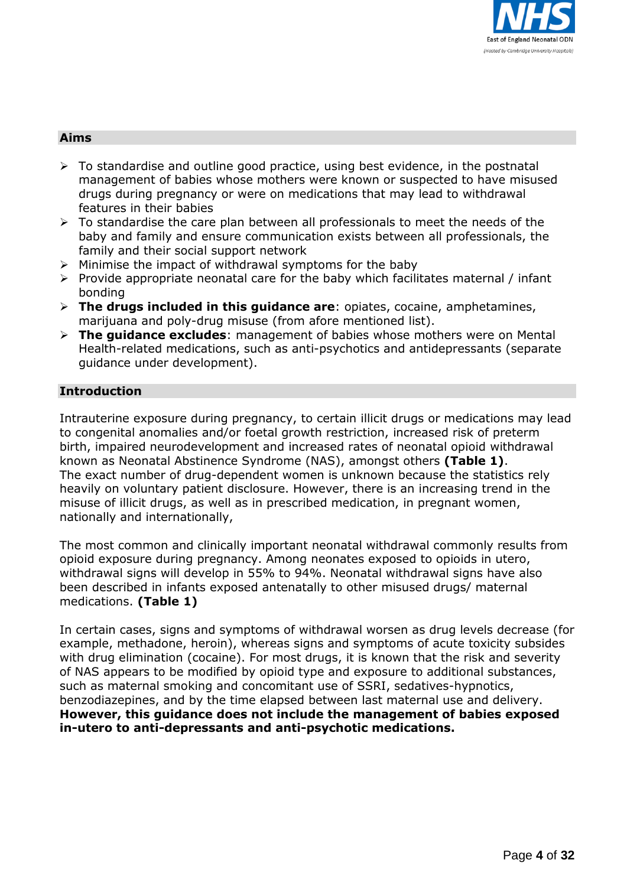

#### **Aims**

- $\triangleright$  To standardise and outline good practice, using best evidence, in the postnatal management of babies whose mothers were known or suspected to have misused drugs during pregnancy or were on medications that may lead to withdrawal features in their babies
- $\triangleright$  To standardise the care plan between all professionals to meet the needs of the baby and family and ensure communication exists between all professionals, the family and their social support network
- $\triangleright$  Minimise the impact of withdrawal symptoms for the baby
- $\triangleright$  Provide appropriate neonatal care for the baby which facilitates maternal / infant bonding
- **The drugs included in this guidance are**: opiates, cocaine, amphetamines, marijuana and poly-drug misuse (from afore mentioned list).
- **The guidance excludes**: management of babies whose mothers were on Mental Health-related medications, such as anti-psychotics and antidepressants (separate guidance under development).

# **Introduction**

Intrauterine exposure during pregnancy, to certain illicit drugs or medications may lead to congenital anomalies and/or foetal growth restriction, increased risk of preterm birth, impaired neurodevelopment and increased rates of neonatal opioid withdrawal known as Neonatal Abstinence Syndrome (NAS), amongst others **(Table 1)**. The exact number of drug-dependent women is unknown because the statistics rely heavily on voluntary patient disclosure. However, there is an increasing trend in the misuse of illicit drugs, as well as in prescribed medication, in pregnant women, nationally and internationally,

The most common and clinically important neonatal withdrawal commonly results from opioid exposure during pregnancy. Among neonates exposed to opioids in utero, withdrawal signs will develop in 55% to 94%. Neonatal withdrawal signs have also been described in infants exposed antenatally to other misused drugs/ maternal medications. **(Table 1)**

In certain cases, signs and symptoms of withdrawal worsen as drug levels decrease (for example, methadone, heroin), whereas signs and symptoms of acute toxicity subsides with drug elimination (cocaine). For most drugs, it is known that the risk and severity of NAS appears to be modified by opioid type and exposure to additional substances, such as maternal smoking and concomitant use of SSRI, sedatives-hypnotics, benzodiazepines, and by the time elapsed between last maternal use and delivery. **However, this guidance does not include the management of babies exposed in-utero to anti-depressants and anti-psychotic medications.**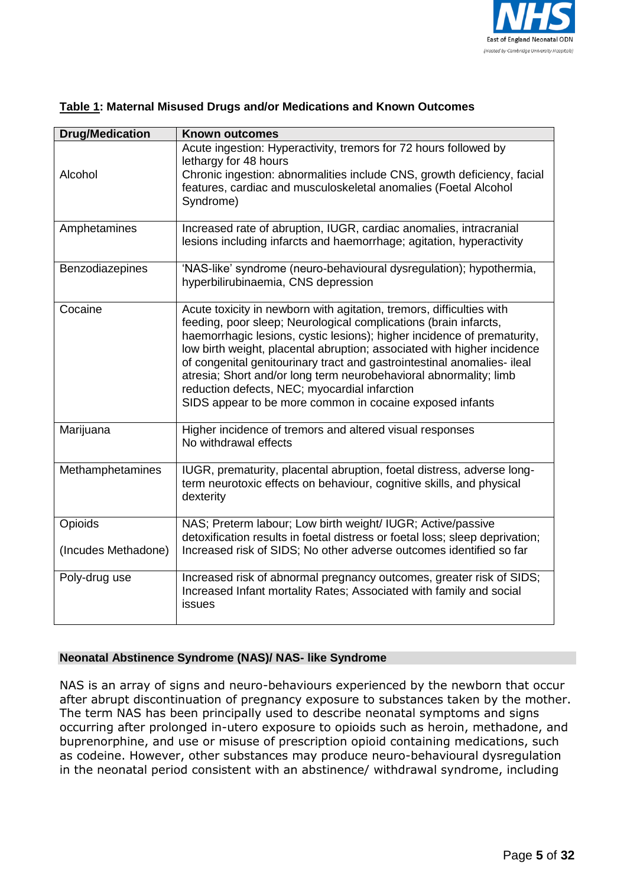

| <b>Drug/Medication</b>         | <b>Known outcomes</b>                                                                                                                                                                                                                                                                                                                                                                                                                                                                                                                                       |
|--------------------------------|-------------------------------------------------------------------------------------------------------------------------------------------------------------------------------------------------------------------------------------------------------------------------------------------------------------------------------------------------------------------------------------------------------------------------------------------------------------------------------------------------------------------------------------------------------------|
| Alcohol                        | Acute ingestion: Hyperactivity, tremors for 72 hours followed by<br>lethargy for 48 hours<br>Chronic ingestion: abnormalities include CNS, growth deficiency, facial<br>features, cardiac and musculoskeletal anomalies (Foetal Alcohol<br>Syndrome)                                                                                                                                                                                                                                                                                                        |
| Amphetamines                   | Increased rate of abruption, IUGR, cardiac anomalies, intracranial<br>lesions including infarcts and haemorrhage; agitation, hyperactivity                                                                                                                                                                                                                                                                                                                                                                                                                  |
| Benzodiazepines                | 'NAS-like' syndrome (neuro-behavioural dysregulation); hypothermia,<br>hyperbilirubinaemia, CNS depression                                                                                                                                                                                                                                                                                                                                                                                                                                                  |
| Cocaine                        | Acute toxicity in newborn with agitation, tremors, difficulties with<br>feeding, poor sleep; Neurological complications (brain infarcts,<br>haemorrhagic lesions, cystic lesions); higher incidence of prematurity,<br>low birth weight, placental abruption; associated with higher incidence<br>of congenital genitourinary tract and gastrointestinal anomalies- ileal<br>atresia; Short and/or long term neurobehavioral abnormality; limb<br>reduction defects, NEC; myocardial infarction<br>SIDS appear to be more common in cocaine exposed infants |
| Marijuana                      | Higher incidence of tremors and altered visual responses<br>No withdrawal effects                                                                                                                                                                                                                                                                                                                                                                                                                                                                           |
| Methamphetamines               | IUGR, prematurity, placental abruption, foetal distress, adverse long-<br>term neurotoxic effects on behaviour, cognitive skills, and physical<br>dexterity                                                                                                                                                                                                                                                                                                                                                                                                 |
| Opioids<br>(Incudes Methadone) | NAS; Preterm labour; Low birth weight/ IUGR; Active/passive<br>detoxification results in foetal distress or foetal loss; sleep deprivation;<br>Increased risk of SIDS; No other adverse outcomes identified so far                                                                                                                                                                                                                                                                                                                                          |
| Poly-drug use                  | Increased risk of abnormal pregnancy outcomes, greater risk of SIDS;<br>Increased Infant mortality Rates; Associated with family and social<br>issues                                                                                                                                                                                                                                                                                                                                                                                                       |

# **Table 1: Maternal Misused Drugs and/or Medications and Known Outcomes**

#### **Neonatal Abstinence Syndrome (NAS)/ NAS- like Syndrome**

NAS is an array of signs and neuro-behaviours experienced by the newborn that occur after abrupt discontinuation of pregnancy exposure to substances taken by the mother. The term NAS has been principally used to describe neonatal symptoms and signs occurring after prolonged in-utero exposure to opioids such as heroin, methadone, and buprenorphine, and use or misuse of prescription opioid containing medications, such as codeine. However, other substances may produce neuro-behavioural dysregulation in the neonatal period consistent with an abstinence/ withdrawal syndrome, including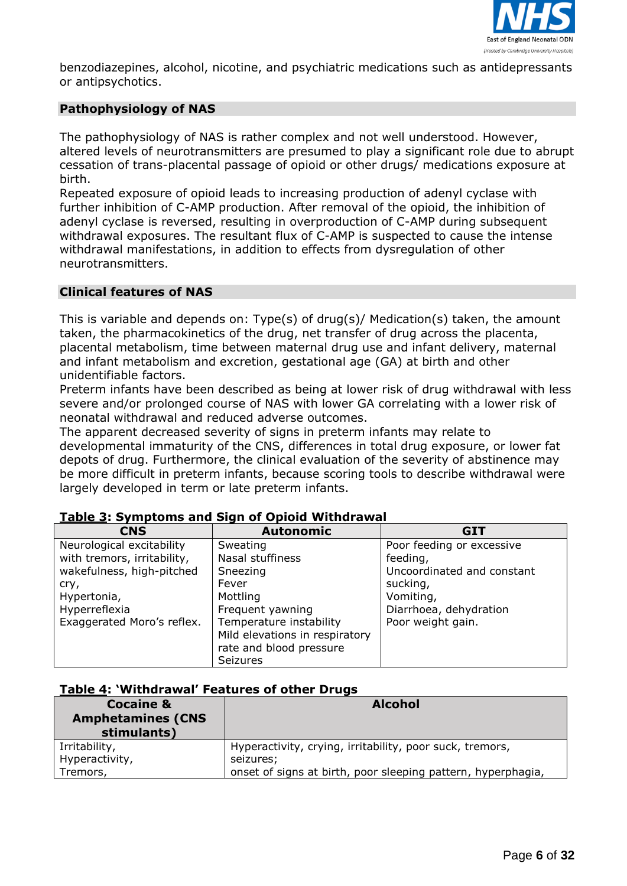

benzodiazepines, alcohol, nicotine, and psychiatric medications such as antidepressants or antipsychotics.

# **Pathophysiology of NAS**

The pathophysiology of NAS is rather complex and not well understood. However, altered levels of neurotransmitters are presumed to play a significant role due to abrupt cessation of trans-placental passage of opioid or other drugs/ medications exposure at birth.

Repeated exposure of opioid leads to increasing production of adenyl cyclase with further inhibition of C-AMP production. After removal of the opioid, the inhibition of adenyl cyclase is reversed, resulting in overproduction of C-AMP during subsequent withdrawal exposures. The resultant flux of C-AMP is suspected to cause the intense withdrawal manifestations, in addition to effects from dysregulation of other neurotransmitters.

#### **Clinical features of NAS**

This is variable and depends on: Type(s) of drug(s)/ Medication(s) taken, the amount taken, the pharmacokinetics of the drug, net transfer of drug across the placenta, placental metabolism, time between maternal drug use and infant delivery, maternal and infant metabolism and excretion, gestational age (GA) at birth and other unidentifiable factors.

Preterm infants have been described as being at lower risk of drug withdrawal with less severe and/or prolonged course of NAS with lower GA correlating with a lower risk of neonatal withdrawal and reduced adverse outcomes.

The apparent decreased severity of signs in preterm infants may relate to developmental immaturity of the CNS, differences in total drug exposure, or lower fat depots of drug. Furthermore, the clinical evaluation of the severity of abstinence may be more difficult in preterm infants, because scoring tools to describe withdrawal were largely developed in term or late preterm infants.

| <b>CNS</b>                  | <b>Autonomic</b>               | <b>GIT</b>                 |
|-----------------------------|--------------------------------|----------------------------|
| Neurological excitability   | Sweating                       | Poor feeding or excessive  |
| with tremors, irritability, | Nasal stuffiness               | feeding,                   |
| wakefulness, high-pitched   | Sneezing                       | Uncoordinated and constant |
| cry,                        | Fever                          | sucking,                   |
| Hypertonia,                 | Mottling                       | Vomiting,                  |
| Hyperreflexia               | Frequent yawning               | Diarrhoea, dehydration     |
| Exaggerated Moro's reflex.  | Temperature instability        | Poor weight gain.          |
|                             | Mild elevations in respiratory |                            |
|                             | rate and blood pressure        |                            |
|                             | <b>Seizures</b>                |                            |

#### **Table 3: Symptoms and Sign of Opioid Withdrawal**

#### **Table 4: 'Withdrawal' Features of other Drugs**

| <b>Cocaine &amp;</b><br><b>Amphetamines (CNS)</b><br>stimulants) | <b>Alcohol</b>                                               |
|------------------------------------------------------------------|--------------------------------------------------------------|
| Irritability,                                                    | Hyperactivity, crying, irritability, poor suck, tremors,     |
| Hyperactivity,                                                   | seizures;                                                    |
| Tremors,                                                         | onset of signs at birth, poor sleeping pattern, hyperphagia, |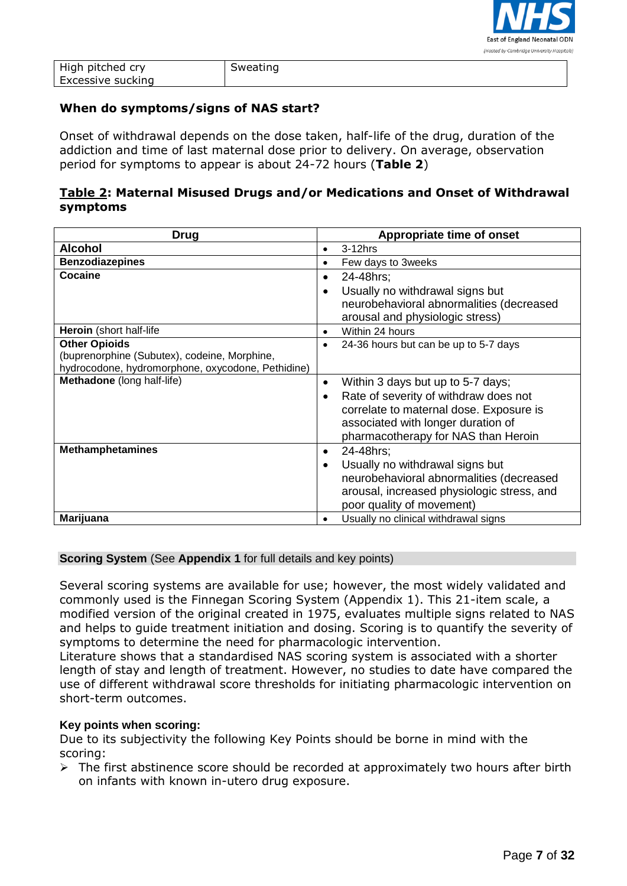

| High pitched cry  | Sweating |
|-------------------|----------|
| Excessive sucking |          |

### **When do symptoms/signs of NAS start?**

Onset of withdrawal depends on the dose taken, half-life of the drug, duration of the addiction and time of last maternal dose prior to delivery. On average, observation period for symptoms to appear is about 24-72 hours (**Table 2**)

# **Table 2: Maternal Misused Drugs and/or Medications and Onset of Withdrawal symptoms**

| <b>Drug</b>                                       | Appropriate time of onset                          |
|---------------------------------------------------|----------------------------------------------------|
| <b>Alcohol</b>                                    | $3-12$ hrs<br>$\bullet$                            |
| <b>Benzodiazepines</b>                            | Few days to 3weeks<br>$\bullet$                    |
| Cocaine                                           | 24-48hrs:<br>$\bullet$                             |
|                                                   | Usually no withdrawal signs but<br>$\bullet$       |
|                                                   | neurobehavioral abnormalities (decreased           |
|                                                   | arousal and physiologic stress)                    |
| Heroin (short half-life                           | Within 24 hours<br>$\bullet$                       |
| <b>Other Opioids</b>                              | 24-36 hours but can be up to 5-7 days<br>$\bullet$ |
| (buprenorphine (Subutex), codeine, Morphine,      |                                                    |
| hydrocodone, hydromorphone, oxycodone, Pethidine) |                                                    |
| Methadone (long half-life)                        | Within 3 days but up to 5-7 days;<br>$\bullet$     |
|                                                   | Rate of severity of withdraw does not              |
|                                                   | correlate to maternal dose. Exposure is            |
|                                                   | associated with longer duration of                 |
|                                                   | pharmacotherapy for NAS than Heroin                |
| <b>Methamphetamines</b>                           | 24-48hrs:<br>$\bullet$                             |
|                                                   | Usually no withdrawal signs but<br>$\bullet$       |
|                                                   | neurobehavioral abnormalities (decreased           |
|                                                   | arousal, increased physiologic stress, and         |
|                                                   | poor quality of movement)                          |
| Marijuana                                         | Usually no clinical withdrawal signs<br>$\bullet$  |

#### **Scoring System** (See **Appendix 1** for full details and key points)

Several scoring systems are available for use; however, the most widely validated and commonly used is the Finnegan Scoring System (Appendix 1). This 21-item scale, a modified version of the original created in 1975, evaluates multiple signs related to NAS and helps to guide treatment initiation and dosing. Scoring is to quantify the severity of symptoms to determine the need for pharmacologic intervention.

Literature shows that a standardised NAS scoring system is associated with a shorter length of stay and length of treatment. However, no studies to date have compared the use of different withdrawal score thresholds for initiating pharmacologic intervention on short-term outcomes.

#### **Key points when scoring:**

Due to its subjectivity the following Key Points should be borne in mind with the scoring:

 $\triangleright$  The first abstinence score should be recorded at approximately two hours after birth on infants with known in-utero drug exposure.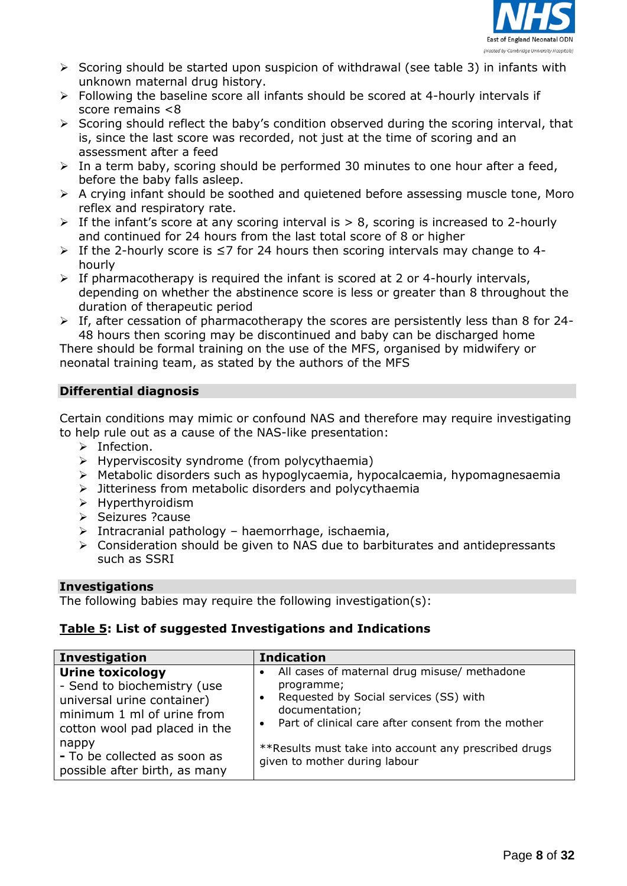

- $\triangleright$  Scoring should be started upon suspicion of withdrawal (see table 3) in infants with unknown maternal drug history.
- $\triangleright$  Following the baseline score all infants should be scored at 4-hourly intervals if score remains <8
- $\triangleright$  Scoring should reflect the baby's condition observed during the scoring interval, that is, since the last score was recorded, not just at the time of scoring and an assessment after a feed
- $\triangleright$  In a term baby, scoring should be performed 30 minutes to one hour after a feed, before the baby falls asleep.
- $\triangleright$  A crying infant should be soothed and quietened before assessing muscle tone, Moro reflex and respiratory rate.
- $\triangleright$  If the infant's score at any scoring interval is  $> 8$ , scoring is increased to 2-hourly and continued for 24 hours from the last total score of 8 or higher
- If the 2-hourly score is ≤7 for 24 hours then scoring intervals may change to 4 hourly
- $\triangleright$  If pharmacotherapy is required the infant is scored at 2 or 4-hourly intervals, depending on whether the abstinence score is less or greater than 8 throughout the duration of therapeutic period
- $\triangleright$  If, after cessation of pharmacotherapy the scores are persistently less than 8 for 24-48 hours then scoring may be discontinued and baby can be discharged home

There should be formal training on the use of the MFS, organised by midwifery or neonatal training team, as stated by the authors of the MFS

# **Differential diagnosis**

Certain conditions may mimic or confound NAS and therefore may require investigating to help rule out as a cause of the NAS-like presentation:

- $\triangleright$  Infection.
- $\triangleright$  Hyperviscosity syndrome (from polycythaemia)
- $\triangleright$  Metabolic disorders such as hypoglycaemia, hypocalcaemia, hypomagnesaemia
- $\triangleright$  Jitteriness from metabolic disorders and polycythaemia
- $\triangleright$  Hyperthyroidism
- $\triangleright$  Seizures ? cause
- $\triangleright$  Intracranial pathology haemorrhage, ischaemia,
- $\triangleright$  Consideration should be given to NAS due to barbiturates and antidepressants such as SSRI

#### **Investigations**

The following babies may require the following investigation(s):

# **Table 5: List of suggested Investigations and Indications**

| <b>Investigation</b>                                                                                                                                                                         | <b>Indication</b>                                                                                                                                                                                                                                                   |
|----------------------------------------------------------------------------------------------------------------------------------------------------------------------------------------------|---------------------------------------------------------------------------------------------------------------------------------------------------------------------------------------------------------------------------------------------------------------------|
| <b>Urine toxicology</b><br>- Send to biochemistry (use<br>universal urine container)<br>minimum 1 ml of urine from<br>cotton wool pad placed in the<br>nappy<br>- To be collected as soon as | All cases of maternal drug misuse/ methadone<br>$\bullet$<br>programme;<br>Requested by Social services (SS) with<br>$\bullet$<br>documentation;<br>• Part of clinical care after consent from the mother<br>** Results must take into account any prescribed drugs |
| possible after birth, as many                                                                                                                                                                | given to mother during labour                                                                                                                                                                                                                                       |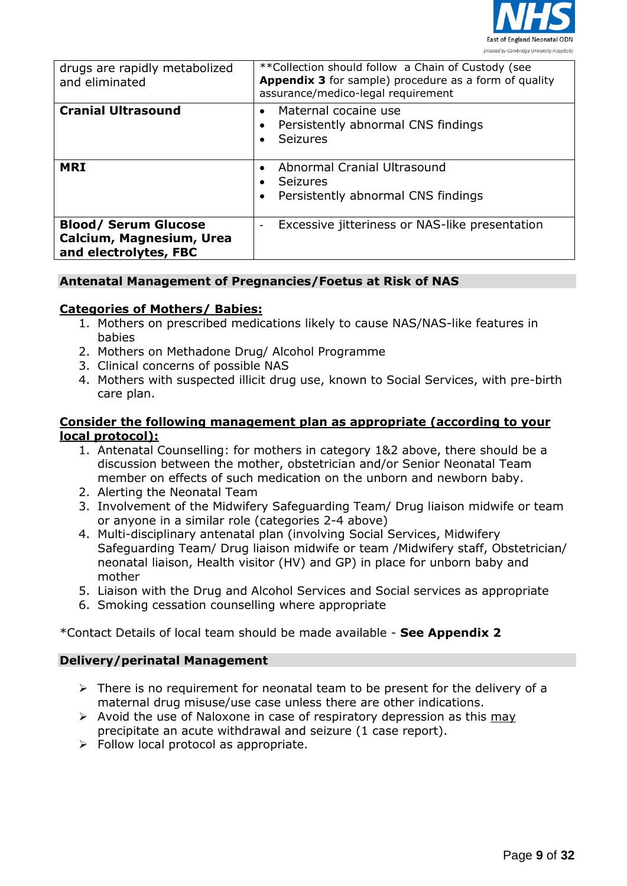

| drugs are rapidly metabolized<br>and eliminated                                  | ** Collection should follow a Chain of Custody (see<br>Appendix 3 for sample) procedure as a form of quality<br>assurance/medico-legal requirement |
|----------------------------------------------------------------------------------|----------------------------------------------------------------------------------------------------------------------------------------------------|
| <b>Cranial Ultrasound</b>                                                        | Maternal cocaine use<br>Persistently abnormal CNS findings<br><b>Seizures</b>                                                                      |
| <b>MRI</b>                                                                       | Abnormal Cranial Ultrasound<br><b>Seizures</b><br>Persistently abnormal CNS findings                                                               |
| <b>Blood/ Serum Glucose</b><br>Calcium, Magnesium, Urea<br>and electrolytes, FBC | Excessive jitteriness or NAS-like presentation                                                                                                     |

#### **Antenatal Management of Pregnancies/Foetus at Risk of NAS**

#### **Categories of Mothers/ Babies:**

- 1. Mothers on prescribed medications likely to cause NAS/NAS-like features in babies
- 2. Mothers on Methadone Drug/ Alcohol Programme
- 3. Clinical concerns of possible NAS
- 4. Mothers with suspected illicit drug use, known to Social Services, with pre-birth care plan.

#### **Consider the following management plan as appropriate (according to your local protocol):**

- 1. Antenatal Counselling: for mothers in category 1&2 above, there should be a discussion between the mother, obstetrician and/or Senior Neonatal Team member on effects of such medication on the unborn and newborn baby.
- 2. Alerting the Neonatal Team
- 3. Involvement of the Midwifery Safeguarding Team/ Drug liaison midwife or team or anyone in a similar role (categories 2-4 above)
- 4. Multi-disciplinary antenatal plan (involving Social Services, Midwifery Safeguarding Team/ Drug liaison midwife or team /Midwifery staff, Obstetrician/ neonatal liaison, Health visitor (HV) and GP) in place for unborn baby and mother
- 5. Liaison with the Drug and Alcohol Services and Social services as appropriate
- 6. Smoking cessation counselling where appropriate

#### \*Contact Details of local team should be made available - **See Appendix 2**

#### **Delivery/perinatal Management**

- $\triangleright$  There is no requirement for neonatal team to be present for the delivery of a maternal drug misuse/use case unless there are other indications.
- $\triangleright$  Avoid the use of Naloxone in case of respiratory depression as this may precipitate an acute withdrawal and seizure (1 case report).
- $\triangleright$  Follow local protocol as appropriate.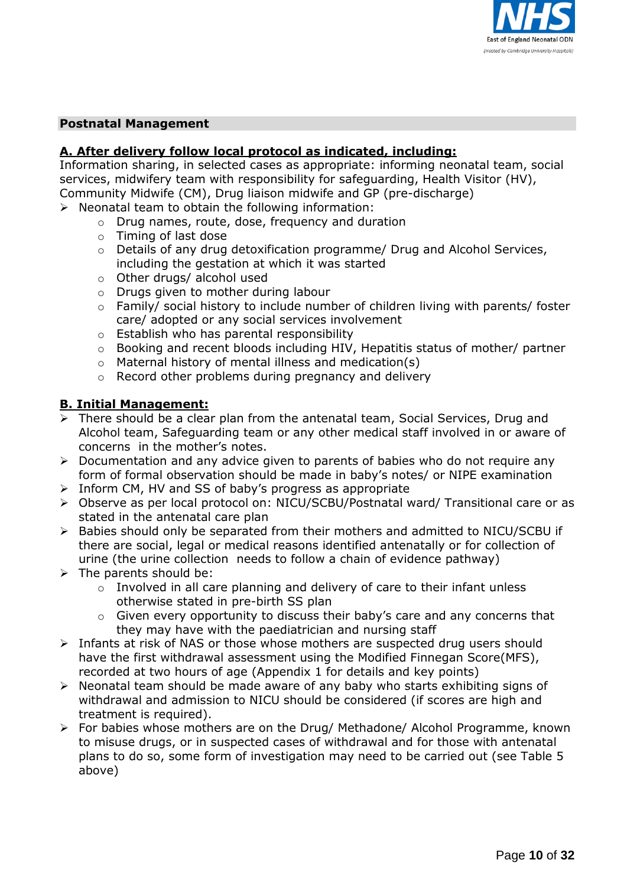

#### **Postnatal Management**

# **A. After delivery follow local protocol as indicated, including:**

Information sharing, in selected cases as appropriate: informing neonatal team, social services, midwifery team with responsibility for safeguarding, Health Visitor (HV), Community Midwife (CM), Drug liaison midwife and GP (pre-discharge)

- $\triangleright$  Neonatal team to obtain the following information:
	- o Drug names, route, dose, frequency and duration
	- o Timing of last dose
	- $\circ$  Details of any drug detoxification programme/ Drug and Alcohol Services, including the gestation at which it was started
	- o Other drugs/ alcohol used
	- o Drugs given to mother during labour
	- o Family/ social history to include number of children living with parents/ foster care/ adopted or any social services involvement
	- $\circ$  Establish who has parental responsibility
	- o Booking and recent bloods including HIV, Hepatitis status of mother/ partner
	- o Maternal history of mental illness and medication(s)
	- o Record other problems during pregnancy and delivery

#### **B. Initial Management:**

- > There should be a clear plan from the antenatal team, Social Services, Drug and Alcohol team, Safeguarding team or any other medical staff involved in or aware of concerns in the mother's notes.
- $\triangleright$  Documentation and any advice given to parents of babies who do not require any form of formal observation should be made in baby's notes/ or NIPE examination
- $\triangleright$  Inform CM, HV and SS of baby's progress as appropriate
- Observe as per local protocol on: NICU/SCBU/Postnatal ward/ Transitional care or as stated in the antenatal care plan
- Babies should only be separated from their mothers and admitted to NICU/SCBU if there are social, legal or medical reasons identified antenatally or for collection of urine (the urine collection needs to follow a chain of evidence pathway)
- $\triangleright$  The parents should be:
	- o Involved in all care planning and delivery of care to their infant unless otherwise stated in pre-birth SS plan
	- o Given every opportunity to discuss their baby's care and any concerns that they may have with the paediatrician and nursing staff
- Infants at risk of NAS or those whose mothers are suspected drug users should have the first withdrawal assessment using the Modified Finnegan Score(MFS), recorded at two hours of age (Appendix 1 for details and key points)
- $\triangleright$  Neonatal team should be made aware of any baby who starts exhibiting signs of withdrawal and admission to NICU should be considered (if scores are high and treatment is required).
- For babies whose mothers are on the Drug/ Methadone/ Alcohol Programme, known to misuse drugs, or in suspected cases of withdrawal and for those with antenatal plans to do so, some form of investigation may need to be carried out (see Table 5 above)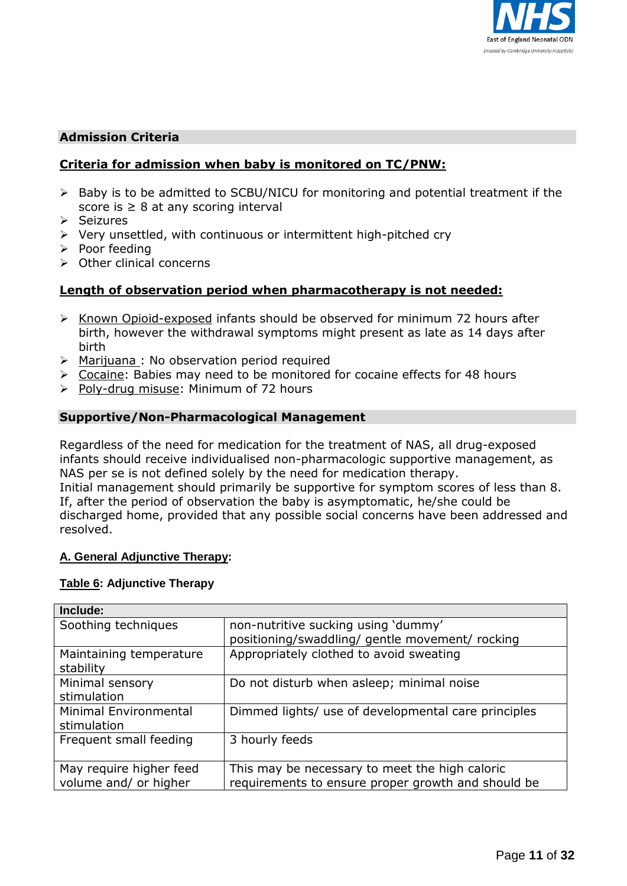

### **Admission Criteria**

### **Criteria for admission when baby is monitored on TC/PNW:**

- $\triangleright$  Baby is to be admitted to SCBU/NICU for monitoring and potential treatment if the score is  $\geq 8$  at any scoring interval
- $\triangleright$  Seizures
- $\triangleright$  Very unsettled, with continuous or intermittent high-pitched cry
- $\triangleright$  Poor feeding
- $\triangleright$  Other clinical concerns

#### **Length of observation period when pharmacotherapy is not needed:**

- $\triangleright$  Known Opioid-exposed infants should be observed for minimum 72 hours after birth, however the withdrawal symptoms might present as late as 14 days after birth
- $\triangleright$  Marijuana : No observation period required
- $\triangleright$  Cocaine: Babies may need to be monitored for cocaine effects for 48 hours
- $\triangleright$  Poly-drug misuse: Minimum of 72 hours

#### **Supportive/Non-Pharmacological Management**

Regardless of the need for medication for the treatment of NAS, all drug-exposed infants should receive individualised non-pharmacologic supportive management, as NAS per se is not defined solely by the need for medication therapy. Initial management should primarily be supportive for symptom scores of less than 8. If, after the period of observation the baby is asymptomatic, he/she could be discharged home, provided that any possible social concerns have been addressed and resolved.

#### **A. General Adjunctive Therapy:**

#### **Table 6: Adjunctive Therapy**

| Include:                |                                                     |
|-------------------------|-----------------------------------------------------|
| Soothing techniques     | non-nutritive sucking using 'dummy'                 |
|                         | positioning/swaddling/ gentle movement/ rocking     |
| Maintaining temperature | Appropriately clothed to avoid sweating             |
| stability               |                                                     |
| Minimal sensory         | Do not disturb when asleep; minimal noise           |
| stimulation             |                                                     |
| Minimal Environmental   | Dimmed lights/ use of developmental care principles |
| stimulation             |                                                     |
| Frequent small feeding  | 3 hourly feeds                                      |
|                         |                                                     |
| May require higher feed | This may be necessary to meet the high caloric      |
| volume and/ or higher   | requirements to ensure proper growth and should be  |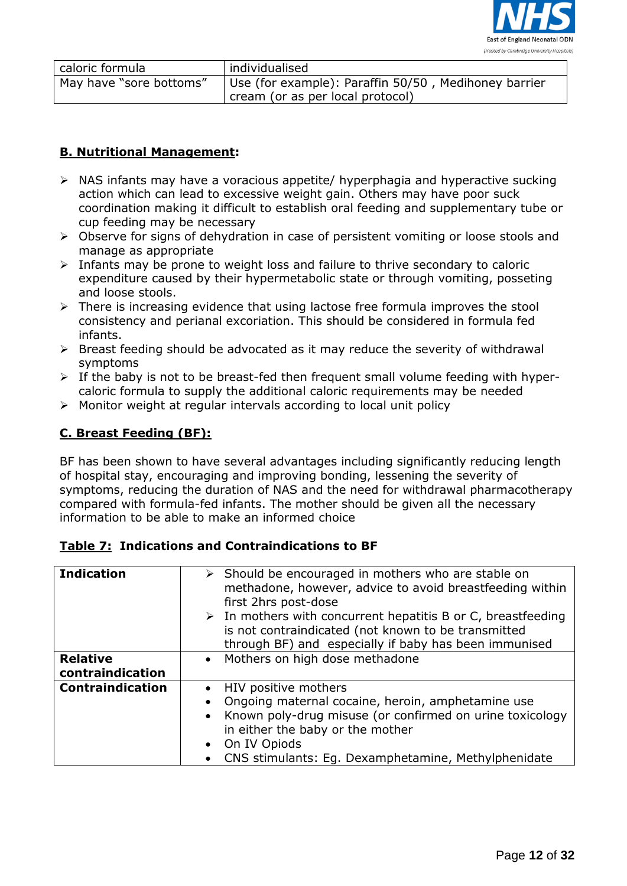

| caloric formula         | individualised                                       |
|-------------------------|------------------------------------------------------|
| May have "sore bottoms" | Use (for example): Paraffin 50/50, Medihoney barrier |
|                         | cream (or as per local protocol)                     |

# **B. Nutritional Management:**

- $\triangleright$  NAS infants may have a voracious appetite/ hyperphagia and hyperactive sucking action which can lead to excessive weight gain. Others may have poor suck coordination making it difficult to establish oral feeding and supplementary tube or cup feeding may be necessary
- Observe for signs of dehydration in case of persistent vomiting or loose stools and manage as appropriate
- $\triangleright$  Infants may be prone to weight loss and failure to thrive secondary to caloric expenditure caused by their hypermetabolic state or through vomiting, posseting and loose stools.
- $\triangleright$  There is increasing evidence that using lactose free formula improves the stool consistency and perianal excoriation. This should be considered in formula fed infants.
- $\triangleright$  Breast feeding should be advocated as it may reduce the severity of withdrawal symptoms
- $\triangleright$  If the baby is not to be breast-fed then frequent small volume feeding with hypercaloric formula to supply the additional caloric requirements may be needed
- $\triangleright$  Monitor weight at regular intervals according to local unit policy

# **C. Breast Feeding (BF):**

BF has been shown to have several advantages including significantly reducing length of hospital stay, encouraging and improving bonding, lessening the severity of symptoms, reducing the duration of NAS and the need for withdrawal pharmacotherapy compared with formula-fed infants. The mother should be given all the necessary information to be able to make an informed choice

| <b>Indication</b>                   | $\triangleright$ Should be encouraged in mothers who are stable on<br>methadone, however, advice to avoid breastfeeding within<br>first 2hrs post-dose<br>$\triangleright$ In mothers with concurrent hepatitis B or C, breastfeeding<br>is not contraindicated (not known to be transmitted<br>through BF) and especially if baby has been immunised |
|-------------------------------------|-------------------------------------------------------------------------------------------------------------------------------------------------------------------------------------------------------------------------------------------------------------------------------------------------------------------------------------------------------|
| <b>Relative</b><br>contraindication | Mothers on high dose methadone<br>$\bullet$                                                                                                                                                                                                                                                                                                           |
| <b>Contraindication</b>             | HIV positive mothers<br>Ongoing maternal cocaine, heroin, amphetamine use<br>Known poly-drug misuse (or confirmed on urine toxicology<br>$\bullet$<br>in either the baby or the mother<br>On IV Opiods<br>CNS stimulants: Eg. Dexamphetamine, Methylphenidate                                                                                         |

#### **Table 7: Indications and Contraindications to BF**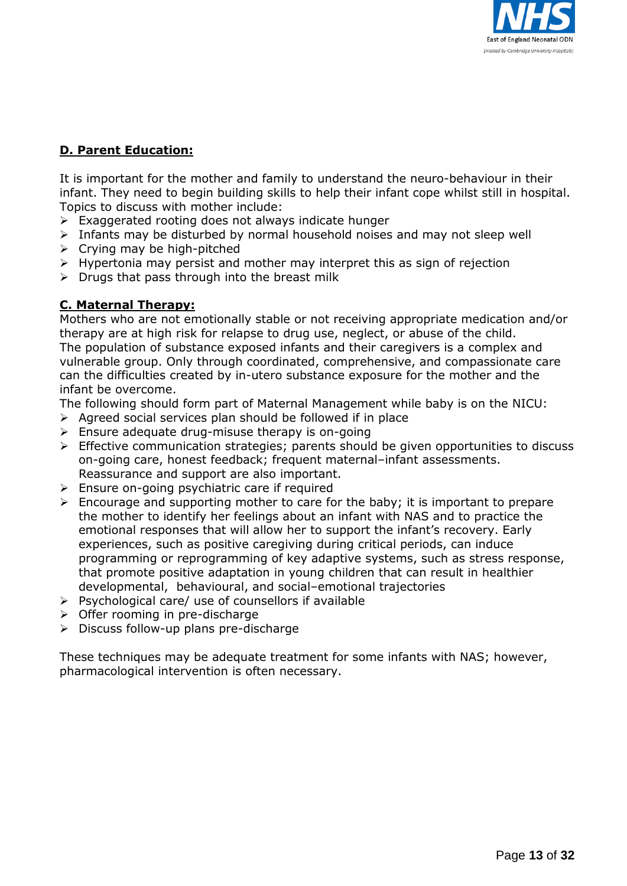

# **D. Parent Education:**

It is important for the mother and family to understand the neuro-behaviour in their infant. They need to begin building skills to help their infant cope whilst still in hospital. Topics to discuss with mother include:

- $\triangleright$  Exaggerated rooting does not always indicate hunger
- $\triangleright$  Infants may be disturbed by normal household noises and may not sleep well
- $\triangleright$  Crying may be high-pitched
- $\triangleright$  Hypertonia may persist and mother may interpret this as sign of rejection
- $\triangleright$  Drugs that pass through into the breast milk

# **C. Maternal Therapy:**

Mothers who are not emotionally stable or not receiving appropriate medication and/or therapy are at high risk for relapse to drug use, neglect, or abuse of the child. The population of substance exposed infants and their caregivers is a complex and vulnerable group. Only through coordinated, comprehensive, and compassionate care can the difficulties created by in-utero substance exposure for the mother and the infant be overcome.

The following should form part of Maternal Management while baby is on the NICU:

- $\triangleright$  Agreed social services plan should be followed if in place
- $\triangleright$  Ensure adequate drug-misuse therapy is on-going
- $\triangleright$  Effective communication strategies; parents should be given opportunities to discuss on-going care, honest feedback; frequent maternal–infant assessments. Reassurance and support are also important.
- $\triangleright$  Ensure on-going psychiatric care if required
- $\triangleright$  Encourage and supporting mother to care for the baby; it is important to prepare the mother to identify her feelings about an infant with NAS and to practice the emotional responses that will allow her to support the infant's recovery. Early experiences, such as positive caregiving during critical periods, can induce programming or reprogramming of key adaptive systems, such as stress response, that promote positive adaptation in young children that can result in healthier developmental, behavioural, and social–emotional trajectories
- $\triangleright$  Psychological care/ use of counsellors if available
- $\triangleright$  Offer rooming in pre-discharge
- $\triangleright$  Discuss follow-up plans pre-discharge

These techniques may be adequate treatment for some infants with NAS; however, pharmacological intervention is often necessary.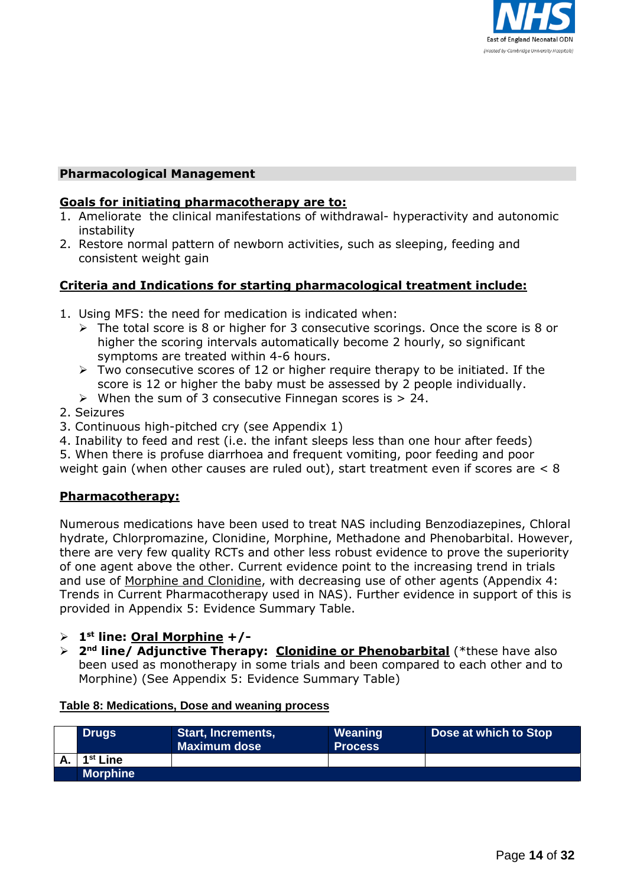

### **Pharmacological Management**

#### **Goals for initiating pharmacotherapy are to:**

- 1. Ameliorate the clinical manifestations of withdrawal- hyperactivity and autonomic instability
- 2. Restore normal pattern of newborn activities, such as sleeping, feeding and consistent weight gain

# **Criteria and Indications for starting pharmacological treatment include:**

- 1. Using MFS: the need for medication is indicated when:
	- $\triangleright$  The total score is 8 or higher for 3 consecutive scorings. Once the score is 8 or higher the scoring intervals automatically become 2 hourly, so significant symptoms are treated within 4-6 hours.
	- $\triangleright$  Two consecutive scores of 12 or higher require therapy to be initiated. If the score is 12 or higher the baby must be assessed by 2 people individually.
	- $\triangleright$  When the sum of 3 consecutive Finnegan scores is  $> 24$ .
- 2. Seizures
- 3. Continuous high-pitched cry (see Appendix 1)

4. Inability to feed and rest (i.e. the infant sleeps less than one hour after feeds)

5. When there is profuse diarrhoea and frequent vomiting, poor feeding and poor weight gain (when other causes are ruled out), start treatment even if scores are < 8

#### **Pharmacotherapy:**

Numerous medications have been used to treat NAS including Benzodiazepines, Chloral hydrate, Chlorpromazine, Clonidine, Morphine, Methadone and Phenobarbital. However, there are very few quality RCTs and other less robust evidence to prove the superiority of one agent above the other. Current evidence point to the increasing trend in trials and use of Morphine and Clonidine, with decreasing use of other agents (Appendix 4: Trends in Current Pharmacotherapy used in NAS). Further evidence in support of this is provided in Appendix 5: Evidence Summary Table.

- **1 st line: Oral Morphine +/-**
- **2<sup>nd</sup> line/ Adjunctive Therapy: Clonidine or Phenobarbital (\*these have also** been used as monotherapy in some trials and been compared to each other and to Morphine) (See Appendix 5: Evidence Summary Table)

#### **Table 8: Medications, Dose and weaning process**

| <b>Drugs</b>         | Start, Increments,<br><b>Maximum dose</b> | Weaning<br><b>Process</b> | Dose at which to Stop |
|----------------------|-------------------------------------------|---------------------------|-----------------------|
| 1 <sup>st</sup> Line |                                           |                           |                       |
| <b>Morphine</b>      |                                           |                           |                       |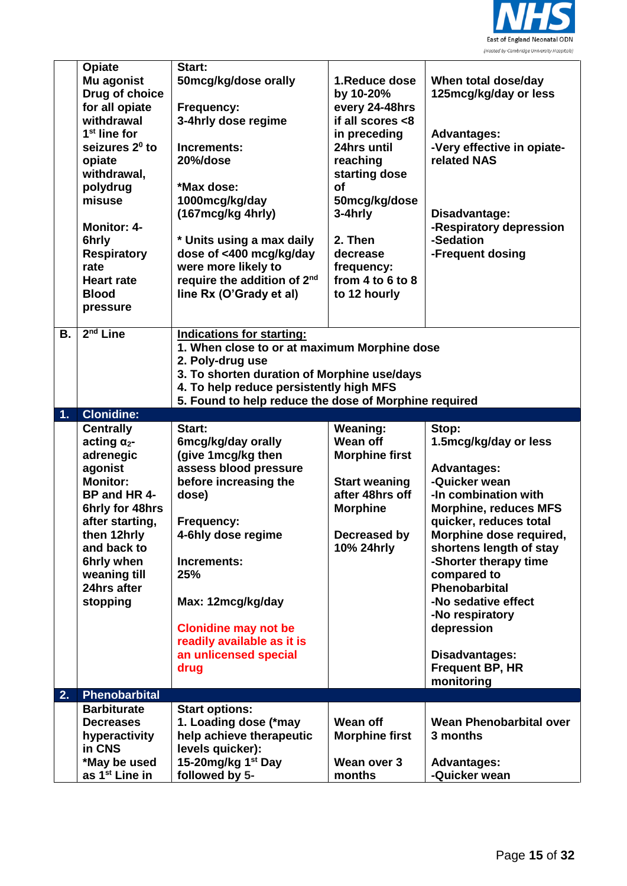

|    | Opiate                                         | Start:                                                                           |                                              |                                              |
|----|------------------------------------------------|----------------------------------------------------------------------------------|----------------------------------------------|----------------------------------------------|
|    | Mu agonist<br>Drug of choice<br>for all opiate | 50mcg/kg/dose orally<br>Frequency:                                               | 1.Reduce dose<br>by 10-20%<br>every 24-48hrs | When total dose/day<br>125mcg/kg/day or less |
|    | withdrawal                                     | 3-4hrly dose regime                                                              | if all scores <8                             |                                              |
|    | $1st$ line for<br>seizures 2 <sup>0</sup> to   | Increments:                                                                      | in preceding<br>24hrs until                  | <b>Advantages:</b>                           |
|    | opiate                                         | 20%/dose                                                                         | reaching                                     | -Very effective in opiate-<br>related NAS    |
|    | withdrawal,                                    |                                                                                  | starting dose                                |                                              |
|    | polydrug                                       | *Max dose:                                                                       | <b>of</b>                                    |                                              |
|    | misuse                                         | 1000mcg/kg/day                                                                   | 50mcg/kg/dose                                |                                              |
|    |                                                | (167mcg/kg 4hrly)                                                                | 3-4hrly                                      | Disadvantage:                                |
|    | <b>Monitor: 4-</b>                             |                                                                                  |                                              | -Respiratory depression                      |
|    | 6hrly                                          | * Units using a max daily                                                        | 2. Then                                      | -Sedation                                    |
|    | <b>Respiratory</b><br>rate                     | dose of <400 mcg/kg/day<br>were more likely to                                   | decrease<br>frequency:                       | -Frequent dosing                             |
|    | <b>Heart rate</b>                              | require the addition of 2 <sup>nd</sup>                                          | from $4$ to $6$ to $8$                       |                                              |
|    | <b>Blood</b>                                   | line Rx (O'Grady et al)                                                          | to 12 hourly                                 |                                              |
|    | pressure                                       |                                                                                  |                                              |                                              |
|    |                                                |                                                                                  |                                              |                                              |
| В. | $2nd$ Line                                     | <b>Indications for starting:</b><br>1. When close to or at maximum Morphine dose |                                              |                                              |
|    |                                                | 2. Poly-drug use                                                                 |                                              |                                              |
|    |                                                | 3. To shorten duration of Morphine use/days                                      |                                              |                                              |
|    |                                                | 4. To help reduce persistently high MFS                                          |                                              |                                              |
|    |                                                | 5. Found to help reduce the dose of Morphine required                            |                                              |                                              |
| 1. | <b>Clonidine:</b>                              |                                                                                  |                                              |                                              |
|    | <b>Centrally</b>                               | Start:                                                                           | <b>Weaning:</b>                              | Stop:                                        |
|    |                                                |                                                                                  |                                              |                                              |
|    | acting $\alpha_{2}$ -                          | 6mcg/kg/day orally                                                               | Wean off                                     | 1.5mcg/kg/day or less                        |
|    | adrenegic                                      | (give 1mcg/kg then                                                               | <b>Morphine first</b>                        |                                              |
|    | agonist<br><b>Monitor:</b>                     | assess blood pressure                                                            |                                              | <b>Advantages:</b>                           |
|    | BP and HR 4-                                   | before increasing the<br>dose)                                                   | <b>Start weaning</b><br>after 48hrs off      | -Quicker wean<br>-In combination with        |
|    | 6hrly for 48hrs                                |                                                                                  | <b>Morphine</b>                              | <b>Morphine, reduces MFS</b>                 |
|    | after starting,                                | Frequency:                                                                       |                                              | quicker, reduces total                       |
|    | then 12hrly                                    | 4-6hly dose regime                                                               | Decreased by                                 | Morphine dose required,                      |
|    | and back to                                    |                                                                                  | 10% 24hrly                                   | shortens length of stay                      |
|    | 6hrly when                                     | Increments:                                                                      |                                              | -Shorter therapy time                        |
|    | weaning till<br>24hrs after                    | 25%                                                                              |                                              | compared to<br>Phenobarbital                 |
|    | stopping                                       | Max: 12mcg/kg/day                                                                |                                              | -No sedative effect                          |
|    |                                                |                                                                                  |                                              | -No respiratory                              |
|    |                                                | <b>Clonidine may not be</b>                                                      |                                              | depression                                   |
|    |                                                | readily available as it is                                                       |                                              |                                              |
|    |                                                | an unlicensed special                                                            |                                              | <b>Disadvantages:</b>                        |
|    |                                                | drug                                                                             |                                              | Frequent BP, HR                              |
| 2. | Phenobarbital                                  |                                                                                  |                                              | monitoring                                   |
|    | <b>Barbiturate</b>                             | <b>Start options:</b>                                                            |                                              |                                              |
|    | <b>Decreases</b>                               | 1. Loading dose (*may                                                            | Wean off                                     | <b>Wean Phenobarbital over</b>               |
|    | hyperactivity                                  | help achieve therapeutic                                                         | <b>Morphine first</b>                        | 3 months                                     |
|    | in CNS                                         | levels quicker):                                                                 |                                              |                                              |
|    | *May be used<br>as 1 <sup>st</sup> Line in     | 15-20mg/kg 1 <sup>st</sup> Day<br>followed by 5-                                 | Wean over 3<br>months                        | <b>Advantages:</b><br>-Quicker wean          |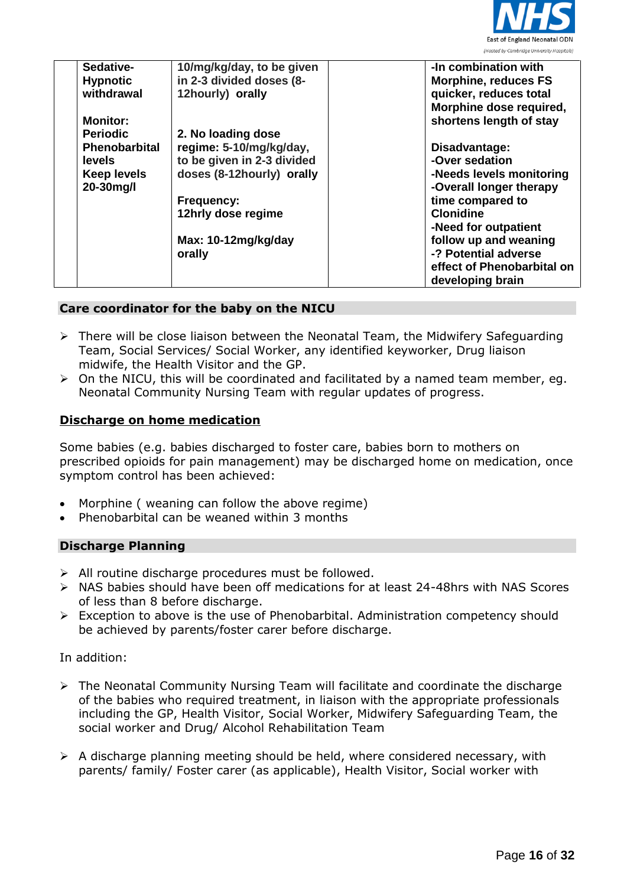

| Sedative-            | 10/mg/kg/day, to be given  | -In combination with        |
|----------------------|----------------------------|-----------------------------|
| <b>Hypnotic</b>      | in 2-3 divided doses (8-   | <b>Morphine, reduces FS</b> |
| withdrawal           | 12hourly) orally           | quicker, reduces total      |
|                      |                            | Morphine dose required,     |
| <b>Monitor:</b>      |                            | shortens length of stay     |
| <b>Periodic</b>      | 2. No loading dose         |                             |
| <b>Phenobarbital</b> | regime: 5-10/mg/kg/day,    | Disadvantage:               |
| levels               | to be given in 2-3 divided | -Over sedation              |
| <b>Keep levels</b>   | doses (8-12hourly) orally  | -Needs levels monitoring    |
| 20-30mg/l            |                            | -Overall longer therapy     |
|                      | <b>Frequency:</b>          | time compared to            |
|                      | 12hrly dose regime         | <b>Clonidine</b>            |
|                      |                            | -Need for outpatient        |
|                      | Max: 10-12mg/kg/day        | follow up and weaning       |
|                      | orally                     | -? Potential adverse        |
|                      |                            | effect of Phenobarbital on  |
|                      |                            | developing brain            |

#### **Care coordinator for the baby on the NICU**

- There will be close liaison between the Neonatal Team, the Midwifery Safeguarding Team, Social Services/ Social Worker, any identified keyworker, Drug liaison midwife, the Health Visitor and the GP.
- $\triangleright$  On the NICU, this will be coordinated and facilitated by a named team member, eq. Neonatal Community Nursing Team with regular updates of progress.

#### **Discharge on home medication**

Some babies (e.g. babies discharged to foster care, babies born to mothers on prescribed opioids for pain management) may be discharged home on medication, once symptom control has been achieved:

- Morphine ( weaning can follow the above regime)
- Phenobarbital can be weaned within 3 months

#### **Discharge Planning**

- $\triangleright$  All routine discharge procedures must be followed.
- NAS babies should have been off medications for at least 24-48hrs with NAS Scores of less than 8 before discharge.
- $\triangleright$  Exception to above is the use of Phenobarbital. Administration competency should be achieved by parents/foster carer before discharge.

#### In addition:

- The Neonatal Community Nursing Team will facilitate and coordinate the discharge of the babies who required treatment, in liaison with the appropriate professionals including the GP, Health Visitor, Social Worker, Midwifery Safeguarding Team, the social worker and Drug/ Alcohol Rehabilitation Team
- $\triangleright$  A discharge planning meeting should be held, where considered necessary, with parents/ family/ Foster carer (as applicable), Health Visitor, Social worker with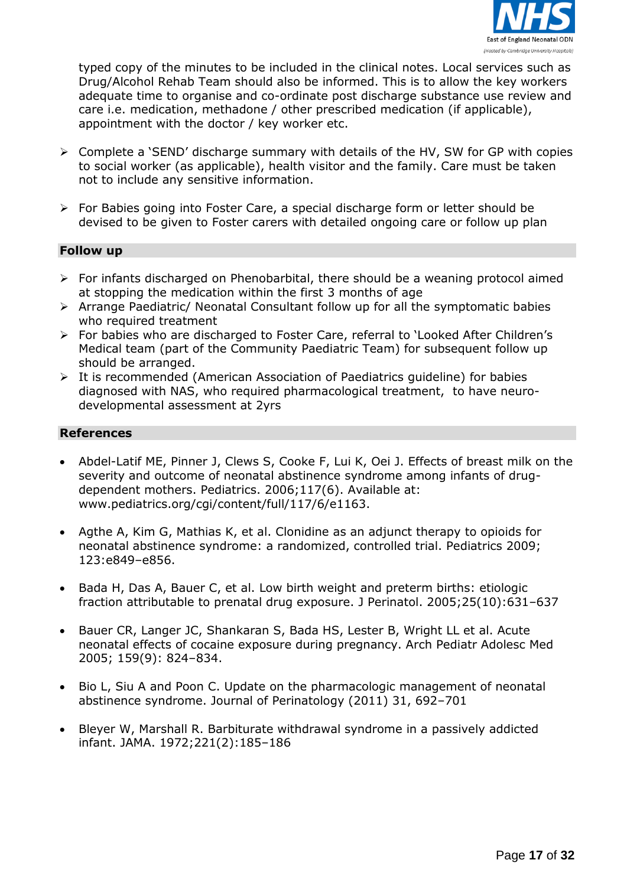

typed copy of the minutes to be included in the clinical notes. Local services such as Drug/Alcohol Rehab Team should also be informed. This is to allow the key workers adequate time to organise and co-ordinate post discharge substance use review and care i.e. medication, methadone / other prescribed medication (if applicable), appointment with the doctor / key worker etc.

- Complete a 'SEND' discharge summary with details of the HV, SW for GP with copies to social worker (as applicable), health visitor and the family. Care must be taken not to include any sensitive information.
- For Babies going into Foster Care, a special discharge form or letter should be devised to be given to Foster carers with detailed ongoing care or follow up plan

#### **Follow up**

- $\triangleright$  For infants discharged on Phenobarbital, there should be a weaning protocol aimed at stopping the medication within the first 3 months of age
- $\triangleright$  Arrange Paediatric/ Neonatal Consultant follow up for all the symptomatic babies who required treatment
- For babies who are discharged to Foster Care, referral to 'Looked After Children's Medical team (part of the Community Paediatric Team) for subsequent follow up should be arranged.
- $\triangleright$  It is recommended (American Association of Paediatrics guideline) for babies diagnosed with NAS, who required pharmacological treatment, to have neurodevelopmental assessment at 2yrs

#### **References**

- Abdel-Latif ME, Pinner J, Clews S, Cooke F, Lui K, Oei J. Effects of breast milk on the severity and outcome of neonatal abstinence syndrome among infants of drugdependent mothers. Pediatrics. 2006;117(6). Available at: www.pediatrics.org/cgi/content/full/117/6/e1163.
- Agthe A, Kim G, Mathias K, et al. Clonidine as an adjunct therapy to opioids for neonatal abstinence syndrome: a randomized, controlled trial. Pediatrics 2009; 123:e849–e856.
- Bada H, Das A, Bauer C, et al. Low birth weight and preterm births: etiologic fraction attributable to prenatal drug exposure. J Perinatol. 2005;25(10):631–637
- Bauer CR, Langer JC, Shankaran S, Bada HS, Lester B, Wright LL et al. Acute neonatal effects of cocaine exposure during pregnancy. Arch Pediatr Adolesc Med 2005; 159(9): 824–834.
- Bio L, Siu A and Poon C. Update on the pharmacologic management of neonatal abstinence syndrome. Journal of Perinatology (2011) 31, 692–701
- Bleyer W, Marshall R. Barbiturate withdrawal syndrome in a passively addicted infant. JAMA. 1972;221(2):185–186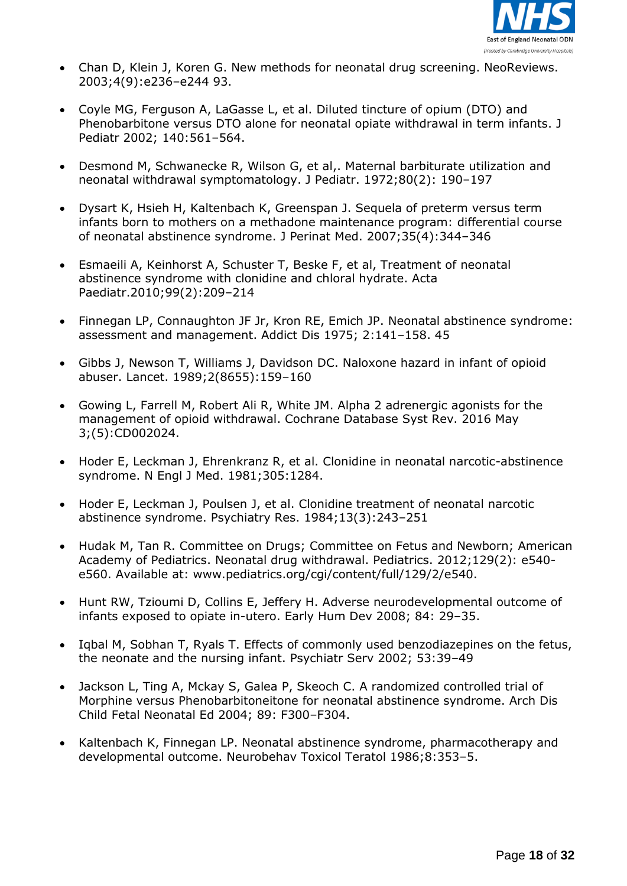

- Chan D, Klein J, Koren G. New methods for neonatal drug screening. NeoReviews. 2003;4(9):e236–e244 93.
- Coyle MG, Ferguson A, LaGasse L, et al. Diluted tincture of opium (DTO) and Phenobarbitone versus DTO alone for neonatal opiate withdrawal in term infants. J Pediatr 2002; 140:561–564.
- Desmond M, Schwanecke R, Wilson G, et al,. Maternal barbiturate utilization and neonatal withdrawal symptomatology. J Pediatr. 1972;80(2): 190–197
- Dysart K, Hsieh H, Kaltenbach K, Greenspan J. Sequela of preterm versus term infants born to mothers on a methadone maintenance program: differential course of neonatal abstinence syndrome. J Perinat Med. 2007;35(4):344–346
- Esmaeili A, Keinhorst A, Schuster T, Beske F, et al, Treatment of neonatal abstinence syndrome with clonidine and chloral hydrate. Acta Paediatr.2010;99(2):209–214
- Finnegan LP, Connaughton JF Jr, Kron RE, Emich JP. Neonatal abstinence syndrome: assessment and management. Addict Dis 1975; 2:141–158. 45
- Gibbs J, Newson T, Williams J, Davidson DC. Naloxone hazard in infant of opioid abuser. Lancet. 1989;2(8655):159–160
- Gowing L, Farrell M, Robert Ali R, White JM. Alpha 2 adrenergic agonists for the management of opioid withdrawal. Cochrane Database Syst Rev. 2016 May 3;(5):CD002024.
- Hoder E, Leckman J, Ehrenkranz R, et al. Clonidine in neonatal narcotic-abstinence syndrome. N Engl J Med. 1981;305:1284.
- Hoder E, Leckman J, Poulsen J, et al. Clonidine treatment of neonatal narcotic abstinence syndrome. Psychiatry Res. 1984;13(3):243–251
- Hudak M, Tan R. Committee on Drugs; Committee on Fetus and Newborn; American Academy of Pediatrics. Neonatal drug withdrawal. Pediatrics. 2012;129(2): e540 e560. Available at: www.pediatrics.org/cgi/content/full/129/2/e540.
- Hunt RW, Tzioumi D, Collins E, Jeffery H. Adverse neurodevelopmental outcome of infants exposed to opiate in-utero. Early Hum Dev 2008; 84: 29–35.
- Iqbal M, Sobhan T, Ryals T. Effects of commonly used benzodiazepines on the fetus, the neonate and the nursing infant. Psychiatr Serv 2002; 53:39–49
- Jackson L, Ting A, Mckay S, Galea P, Skeoch C. A randomized controlled trial of Morphine versus Phenobarbitoneitone for neonatal abstinence syndrome. Arch Dis Child Fetal Neonatal Ed 2004; 89: F300–F304.
- Kaltenbach K, Finnegan LP. Neonatal abstinence syndrome, pharmacotherapy and developmental outcome. Neurobehav Toxicol Teratol 1986;8:353–5.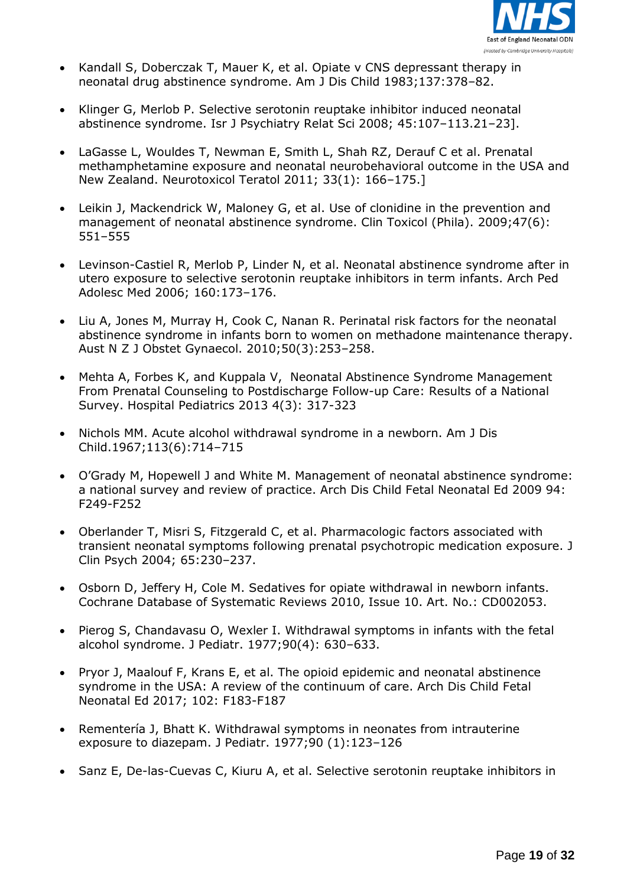

- Kandall S, Doberczak T, Mauer K, et al. Opiate v CNS depressant therapy in neonatal drug abstinence syndrome. Am J Dis Child 1983;137:378–82.
- Klinger G, Merlob P. Selective serotonin reuptake inhibitor induced neonatal abstinence syndrome. Isr J Psychiatry Relat Sci 2008; 45:107–113.21–23].
- LaGasse L, Wouldes T, Newman E, Smith L, Shah RZ, Derauf C et al. Prenatal methamphetamine exposure and neonatal neurobehavioral outcome in the USA and New Zealand. Neurotoxicol Teratol 2011; 33(1): 166–175.]
- Leikin J, Mackendrick W, Maloney G, et al. Use of clonidine in the prevention and management of neonatal abstinence syndrome. Clin Toxicol (Phila). 2009;47(6): 551–555
- Levinson-Castiel R, Merlob P, Linder N, et al. Neonatal abstinence syndrome after in utero exposure to selective serotonin reuptake inhibitors in term infants. Arch Ped Adolesc Med 2006; 160:173–176.
- Liu A, Jones M, Murray H, Cook C, Nanan R. Perinatal risk factors for the neonatal abstinence syndrome in infants born to women on methadone maintenance therapy. Aust N Z J Obstet Gynaecol. 2010;50(3):253–258.
- Mehta A, Forbes K, and Kuppala V, Neonatal Abstinence Syndrome Management From Prenatal Counseling to Postdischarge Follow-up Care: Results of a National Survey. Hospital Pediatrics 2013 4(3): 317-323
- Nichols MM. Acute alcohol withdrawal syndrome in a newborn. Am J Dis Child.1967;113(6):714–715
- O'Grady M, Hopewell J and White M. Management of neonatal abstinence syndrome: a national survey and review of practice. Arch Dis Child Fetal Neonatal Ed 2009 94: F249-F252
- Oberlander T, Misri S, Fitzgerald C, et al. Pharmacologic factors associated with transient neonatal symptoms following prenatal psychotropic medication exposure. J Clin Psych 2004; 65:230–237.
- Osborn D, Jeffery H, Cole M. Sedatives for opiate withdrawal in newborn infants. Cochrane Database of Systematic Reviews 2010, Issue 10. Art. No.: CD002053.
- Pierog S, Chandavasu O, Wexler I. Withdrawal symptoms in infants with the fetal alcohol syndrome. J Pediatr. 1977;90(4): 630–633.
- Pryor J, Maalouf F, Krans E, et al. The opioid epidemic and neonatal abstinence syndrome in the USA: A review of the continuum of care. Arch Dis Child Fetal Neonatal Ed 2017; 102: F183-F187
- Rementería J, Bhatt K. Withdrawal symptoms in neonates from intrauterine exposure to diazepam. J Pediatr. 1977;90 (1):123–126
- Sanz E, De-las-Cuevas C, Kiuru A, et al. Selective serotonin reuptake inhibitors in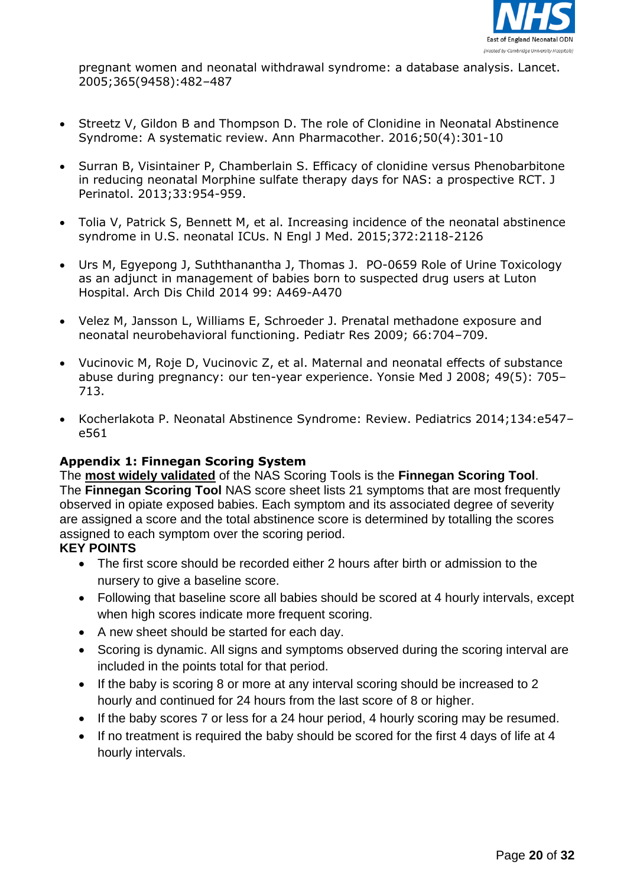

pregnant women and neonatal withdrawal syndrome: a database analysis. Lancet. 2005;365(9458):482–487

- Streetz V, Gildon B and Thompson D. The role of Clonidine in Neonatal Abstinence Syndrome: A systematic review. Ann Pharmacother. 2016;50(4):301-10
- Surran B, Visintainer P, Chamberlain S. Efficacy of clonidine versus Phenobarbitone in reducing neonatal Morphine sulfate therapy days for NAS: a prospective RCT. J Perinatol. 2013;33:954-959.
- Tolia V, Patrick S, Bennett M, et al. Increasing incidence of the neonatal abstinence syndrome in U.S. neonatal ICUs. N Engl J Med. 2015;372:2118-2126
- Urs M, Egyepong J, Suththanantha J, Thomas J. PO-0659 Role of Urine Toxicology as an adjunct in management of babies born to suspected drug users at Luton Hospital. Arch Dis Child 2014 99: A469-A470
- Velez M, Jansson L, Williams E, Schroeder J. Prenatal methadone exposure and neonatal neurobehavioral functioning. Pediatr Res 2009; 66:704–709.
- Vucinovic M, Roje D, Vucinovic Z, et al. Maternal and neonatal effects of substance abuse during pregnancy: our ten-year experience. Yonsie Med J 2008; 49(5): 705– 713.
- Kocherlakota P. Neonatal Abstinence Syndrome: Review. Pediatrics 2014;134:e547– e561

# **Appendix 1: Finnegan Scoring System**

The **most widely validated** of the NAS Scoring Tools is the **Finnegan Scoring Tool**. The **Finnegan Scoring Tool** NAS score sheet lists 21 symptoms that are most frequently observed in opiate exposed babies. Each symptom and its associated degree of severity are assigned a score and the total abstinence score is determined by totalling the scores assigned to each symptom over the scoring period.

#### **KEY POINTS**

- The first score should be recorded either 2 hours after birth or admission to the nursery to give a baseline score.
- Following that baseline score all babies should be scored at 4 hourly intervals, except when high scores indicate more frequent scoring.
- A new sheet should be started for each day.
- Scoring is dynamic. All signs and symptoms observed during the scoring interval are included in the points total for that period.
- If the baby is scoring 8 or more at any interval scoring should be increased to 2 hourly and continued for 24 hours from the last score of 8 or higher.
- If the baby scores 7 or less for a 24 hour period, 4 hourly scoring may be resumed.
- If no treatment is required the baby should be scored for the first 4 days of life at 4 hourly intervals.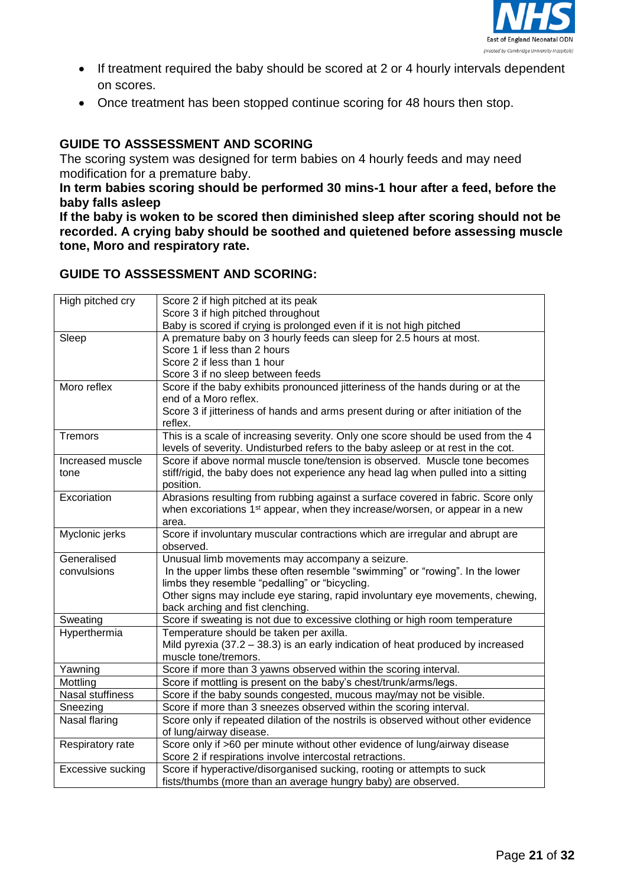

- If treatment required the baby should be scored at 2 or 4 hourly intervals dependent on scores.
- Once treatment has been stopped continue scoring for 48 hours then stop.

# **GUIDE TO ASSSESSMENT AND SCORING**

The scoring system was designed for term babies on 4 hourly feeds and may need modification for a premature baby.

**In term babies scoring should be performed 30 mins-1 hour after a feed, before the baby falls asleep**

**If the baby is woken to be scored then diminished sleep after scoring should not be recorded. A crying baby should be soothed and quietened before assessing muscle tone, Moro and respiratory rate.**

# **GUIDE TO ASSSESSMENT AND SCORING:**

| High pitched cry         | Score 2 if high pitched at its peak                                                                        |
|--------------------------|------------------------------------------------------------------------------------------------------------|
|                          | Score 3 if high pitched throughout<br>Baby is scored if crying is prolonged even if it is not high pitched |
| Sleep                    | A premature baby on 3 hourly feeds can sleep for 2.5 hours at most.                                        |
|                          | Score 1 if less than 2 hours                                                                               |
|                          | Score 2 if less than 1 hour                                                                                |
|                          | Score 3 if no sleep between feeds                                                                          |
| Moro reflex              | Score if the baby exhibits pronounced jitteriness of the hands during or at the                            |
|                          | end of a Moro reflex.                                                                                      |
|                          | Score 3 if jitteriness of hands and arms present during or after initiation of the                         |
|                          | reflex.                                                                                                    |
| <b>Tremors</b>           | This is a scale of increasing severity. Only one score should be used from the 4                           |
|                          | levels of severity. Undisturbed refers to the baby asleep or at rest in the cot.                           |
| Increased muscle         | Score if above normal muscle tone/tension is observed. Muscle tone becomes                                 |
| tone                     | stiff/rigid, the baby does not experience any head lag when pulled into a sitting                          |
|                          | position.                                                                                                  |
| Excoriation              | Abrasions resulting from rubbing against a surface covered in fabric. Score only                           |
|                          | when excoriations 1 <sup>st</sup> appear, when they increase/worsen, or appear in a new                    |
|                          | area.                                                                                                      |
| Myclonic jerks           | Score if involuntary muscular contractions which are irregular and abrupt are                              |
| Generalised              | observed.<br>Unusual limb movements may accompany a seizure.                                               |
| convulsions              | In the upper limbs these often resemble "swimming" or "rowing". In the lower                               |
|                          | limbs they resemble "pedalling" or "bicycling.                                                             |
|                          | Other signs may include eye staring, rapid involuntary eye movements, chewing,                             |
|                          | back arching and fist clenching.                                                                           |
| Sweating                 | Score if sweating is not due to excessive clothing or high room temperature                                |
| Hyperthermia             | Temperature should be taken per axilla.                                                                    |
|                          | Mild pyrexia (37.2 - 38.3) is an early indication of heat produced by increased                            |
|                          | muscle tone/tremors.                                                                                       |
| Yawning                  | Score if more than 3 yawns observed within the scoring interval.                                           |
| Mottling                 | Score if mottling is present on the baby's chest/trunk/arms/legs.                                          |
| <b>Nasal stuffiness</b>  | Score if the baby sounds congested, mucous may/may not be visible.                                         |
| Sneezing                 | Score if more than 3 sneezes observed within the scoring interval.                                         |
| Nasal flaring            | Score only if repeated dilation of the nostrils is observed without other evidence                         |
|                          | of lung/airway disease.                                                                                    |
| Respiratory rate         | Score only if >60 per minute without other evidence of lung/airway disease                                 |
|                          | Score 2 if respirations involve intercostal retractions.                                                   |
| <b>Excessive sucking</b> | Score if hyperactive/disorganised sucking, rooting or attempts to suck                                     |
|                          | fists/thumbs (more than an average hungry baby) are observed.                                              |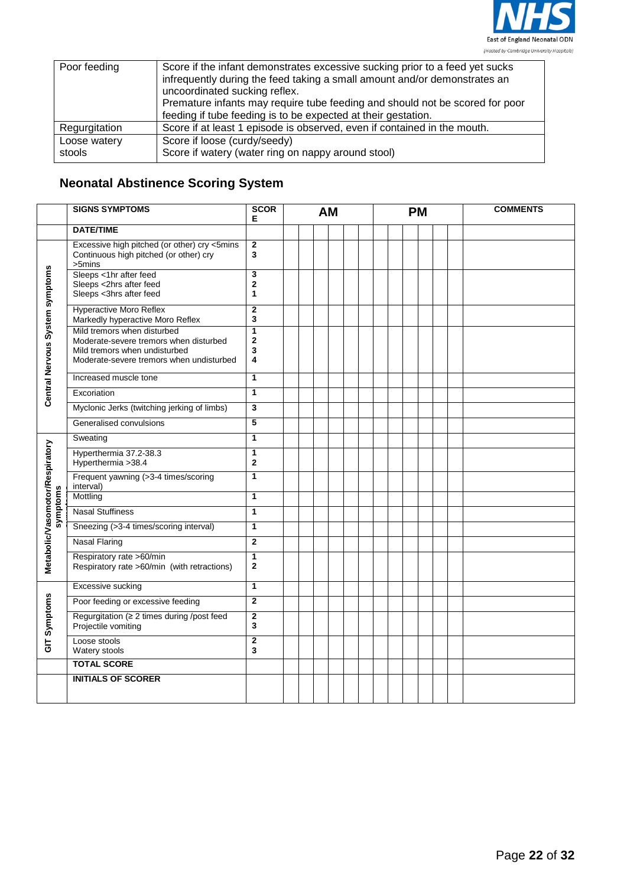

| Poor feeding           | Score if the infant demonstrates excessive sucking prior to a feed yet sucks<br>infrequently during the feed taking a small amount and/or demonstrates an<br>uncoordinated sucking reflex.<br>Premature infants may require tube feeding and should not be scored for poor<br>feeding if tube feeding is to be expected at their gestation. |
|------------------------|---------------------------------------------------------------------------------------------------------------------------------------------------------------------------------------------------------------------------------------------------------------------------------------------------------------------------------------------|
| Regurgitation          | Score if at least 1 episode is observed, even if contained in the mouth.                                                                                                                                                                                                                                                                    |
| Loose watery<br>stools | Score if loose (curdy/seedy)<br>Score if watery (water ring on nappy around stool)                                                                                                                                                                                                                                                          |

# **Neonatal Abstinence Scoring System**

|                                 | <b>SIGNS SYMPTOMS</b>                                                                                                                              | <b>SCOR</b><br>Е               | <b>AM</b> |  | <b>PM</b> |  |  |  |  | <b>COMMENTS</b> |  |  |
|---------------------------------|----------------------------------------------------------------------------------------------------------------------------------------------------|--------------------------------|-----------|--|-----------|--|--|--|--|-----------------|--|--|
|                                 | <b>DATE/TIME</b>                                                                                                                                   |                                |           |  |           |  |  |  |  |                 |  |  |
|                                 | Excessive high pitched (or other) cry <5mins<br>Continuous high pitched (or other) cry<br>$>5$ mins                                                | $\overline{\mathbf{2}}$<br>3   |           |  |           |  |  |  |  |                 |  |  |
|                                 | Sleeps <1hr after feed<br>Sleeps <2hrs after feed<br>Sleeps <3hrs after feed                                                                       | 3<br>$\mathbf 2$<br>1          |           |  |           |  |  |  |  |                 |  |  |
|                                 | Hyperactive Moro Reflex<br>Markedly hyperactive Moro Reflex                                                                                        | $\mathbf{2}$<br>3              |           |  |           |  |  |  |  |                 |  |  |
| Central Nervous System symptoms | Mild tremors when disturbed<br>Moderate-severe tremors when disturbed<br>Mild tremors when undisturbed<br>Moderate-severe tremors when undisturbed | $\overline{1}$<br>2<br>3<br>4  |           |  |           |  |  |  |  |                 |  |  |
|                                 | Increased muscle tone                                                                                                                              | 1                              |           |  |           |  |  |  |  |                 |  |  |
|                                 | Excoriation                                                                                                                                        | $\mathbf{1}$                   |           |  |           |  |  |  |  |                 |  |  |
|                                 | Myclonic Jerks (twitching jerking of limbs)                                                                                                        | 3                              |           |  |           |  |  |  |  |                 |  |  |
|                                 | Generalised convulsions                                                                                                                            | 5                              |           |  |           |  |  |  |  |                 |  |  |
|                                 | Sweating                                                                                                                                           | 1                              |           |  |           |  |  |  |  |                 |  |  |
| Metabolic/Vasomotor/Respiratory | Hyperthermia 37.2-38.3<br>Hyperthermia > 38.4                                                                                                      | 1<br>$\mathbf 2$               |           |  |           |  |  |  |  |                 |  |  |
|                                 | Frequent yawning (>3-4 times/scoring<br>interval)                                                                                                  | 1                              |           |  |           |  |  |  |  |                 |  |  |
|                                 | Mottling                                                                                                                                           | 1                              |           |  |           |  |  |  |  |                 |  |  |
| symptoms                        | <b>Nasal Stuffiness</b>                                                                                                                            | 1                              |           |  |           |  |  |  |  |                 |  |  |
|                                 | Sneezing (>3-4 times/scoring interval)                                                                                                             | 1                              |           |  |           |  |  |  |  |                 |  |  |
|                                 | <b>Nasal Flaring</b>                                                                                                                               | $\mathbf{2}$                   |           |  |           |  |  |  |  |                 |  |  |
|                                 | Respiratory rate >60/min<br>Respiratory rate >60/min (with retractions)                                                                            | $\mathbf{1}$<br>$\overline{2}$ |           |  |           |  |  |  |  |                 |  |  |
|                                 | Excessive sucking                                                                                                                                  | $\mathbf{1}$                   |           |  |           |  |  |  |  |                 |  |  |
|                                 | Poor feeding or excessive feeding                                                                                                                  | $\overline{2}$                 |           |  |           |  |  |  |  |                 |  |  |
| GIT Symptoms                    | Regurgitation ( $\geq 2$ times during /post feed<br>Projectile vomiting                                                                            | $\mathbf 2$<br>3               |           |  |           |  |  |  |  |                 |  |  |
|                                 | Loose stools<br>Watery stools                                                                                                                      | $\mathbf{2}$<br>3              |           |  |           |  |  |  |  |                 |  |  |
|                                 | <b>TOTAL SCORE</b>                                                                                                                                 |                                |           |  |           |  |  |  |  |                 |  |  |
|                                 | <b>INITIALS OF SCORER</b>                                                                                                                          |                                |           |  |           |  |  |  |  |                 |  |  |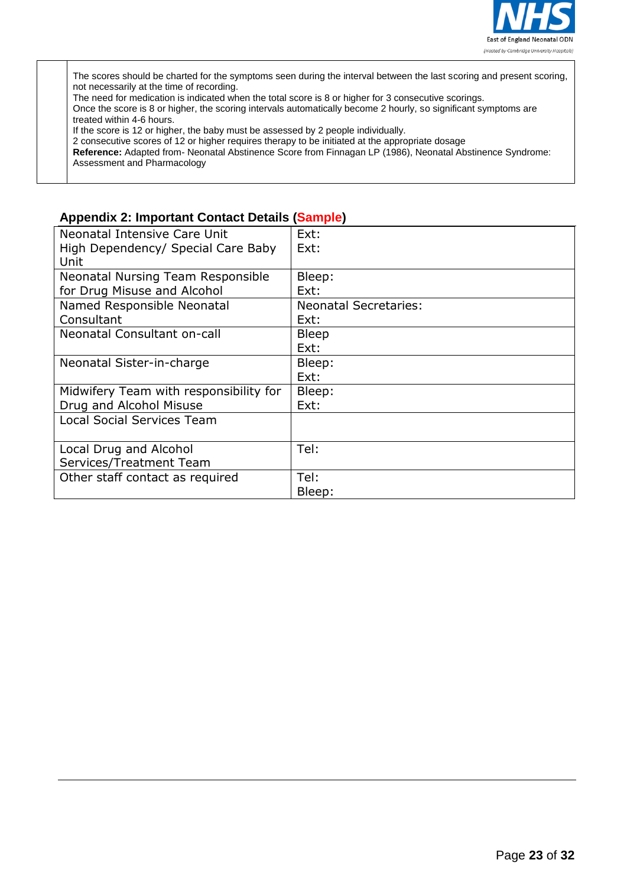

The scores should be charted for the symptoms seen during the interval between the last scoring and present scoring, not necessarily at the time of recording.

The need for medication is indicated when the total score is 8 or higher for 3 consecutive scorings.

Once the score is 8 or higher, the scoring intervals automatically become 2 hourly, so significant symptoms are treated within 4-6 hours.

If the score is 12 or higher, the baby must be assessed by 2 people individually.

2 consecutive scores of 12 or higher requires therapy to be initiated at the appropriate dosage

**Reference:** Adapted from- Neonatal Abstinence Score from Finnagan LP (1986), Neonatal Abstinence Syndrome: Assessment and Pharmacology

# **Appendix 2: Important Contact Details (Sample)**

| Neonatal Intensive Care Unit           | Ext:                         |
|----------------------------------------|------------------------------|
| High Dependency/ Special Care Baby     | Ext:                         |
| Unit                                   |                              |
| Neonatal Nursing Team Responsible      | Bleep:                       |
| for Drug Misuse and Alcohol            | Ext:                         |
| Named Responsible Neonatal             | <b>Neonatal Secretaries:</b> |
| Consultant                             | Ext:                         |
| Neonatal Consultant on-call            | <b>Bleep</b>                 |
|                                        | Ext:                         |
| Neonatal Sister-in-charge              | Bleep:                       |
|                                        | Ext:                         |
| Midwifery Team with responsibility for | Bleep:                       |
| Drug and Alcohol Misuse                | Ext:                         |
| <b>Local Social Services Team</b>      |                              |
|                                        |                              |
| Local Drug and Alcohol                 | Tel:                         |
| Services/Treatment Team                |                              |
| Other staff contact as required        | Tel:                         |
|                                        | Bleep:                       |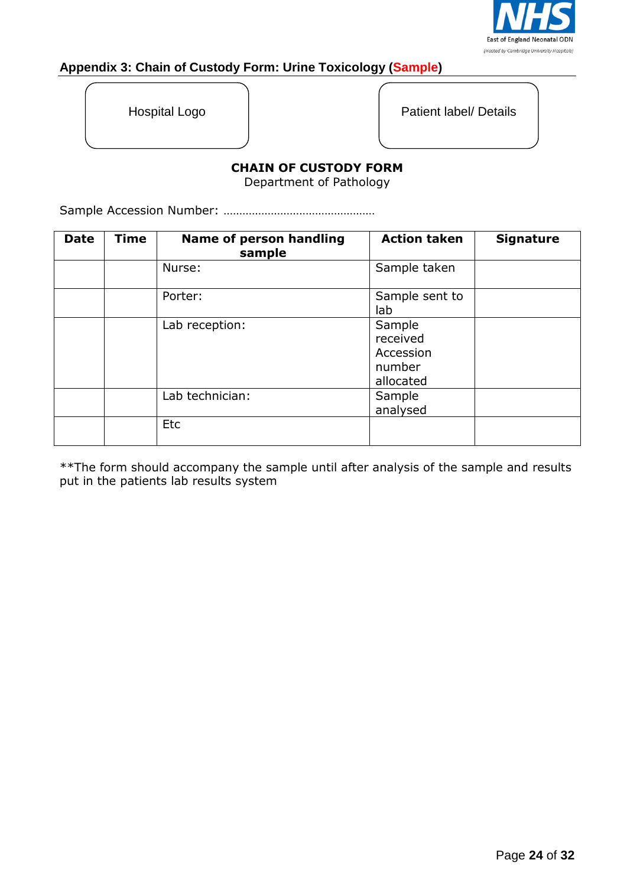

# **Appendix 3: Chain of Custody Form: Urine Toxicology (Sample)**

Hospital Logo | Patient label/ Details

# **CHAIN OF CUSTODY FORM**

Department of Pathology

Sample Accession Number: …………………………………………

| <b>Date</b> | <b>Time</b> | <b>Name of person handling</b><br>sample | <b>Action taken</b>                                    | <b>Signature</b> |
|-------------|-------------|------------------------------------------|--------------------------------------------------------|------------------|
|             |             | Nurse:                                   | Sample taken                                           |                  |
|             |             | Porter:                                  | Sample sent to<br>lab                                  |                  |
|             |             | Lab reception:                           | Sample<br>received<br>Accession<br>number<br>allocated |                  |
|             |             | Lab technician:                          | Sample<br>analysed                                     |                  |
|             |             | Etc                                      |                                                        |                  |

\*\*The form should accompany the sample until after analysis of the sample and results put in the patients lab results system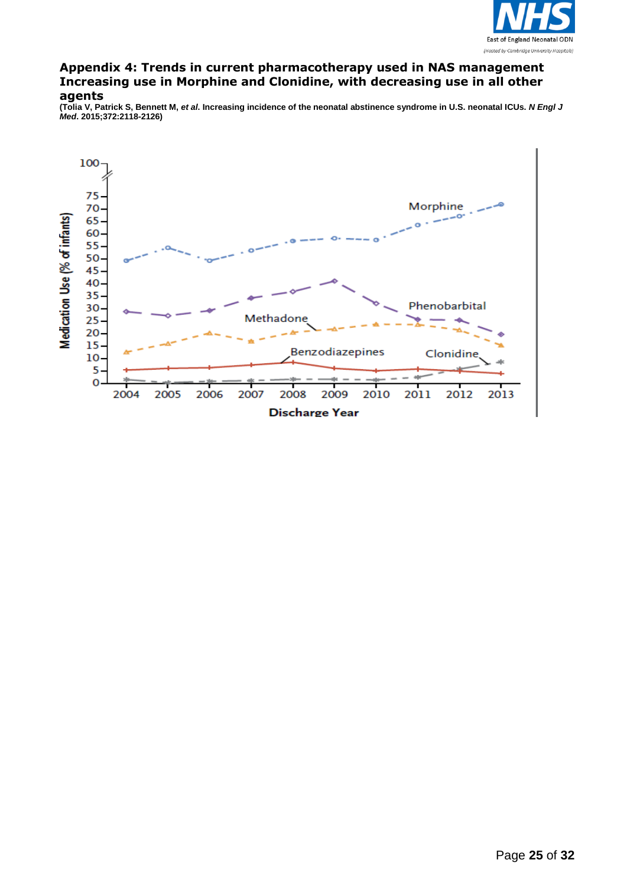

#### **Appendix 4: Trends in current pharmacotherapy used in NAS management Increasing use in Morphine and Clonidine, with decreasing use in all other agents**

**(Tolia V, Patrick S, Bennett M,** *et al***. Increasing incidence of the neonatal abstinence syndrome in U.S. neonatal ICUs.** *N Engl J Med***. 2015;372:2118-2126)**

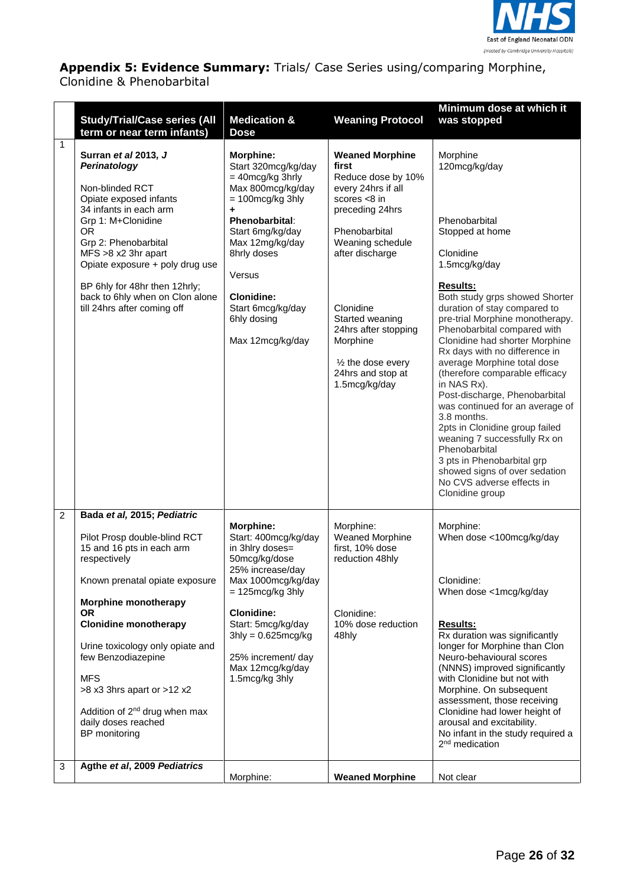

**Appendix 5: Evidence Summary:** Trials/ Case Series using/comparing Morphine,

Clonidine & Phenobarbital

|                     | <b>Study/Trial/Case series (All</b><br>term or near term infants)                                                                                                                                                                                                                                                                                                                                                                                 | <b>Medication &amp;</b><br><b>Dose</b>                                                                                                                                                                                                                                                | <b>Weaning Protocol</b>                                                                                                                                                                                                                                                                                            | Minimum dose at which it<br>was stopped                                                                                                                                                                                                                                                                                                                                                                                                                                                                                                                                                                                                                                                    |
|---------------------|---------------------------------------------------------------------------------------------------------------------------------------------------------------------------------------------------------------------------------------------------------------------------------------------------------------------------------------------------------------------------------------------------------------------------------------------------|---------------------------------------------------------------------------------------------------------------------------------------------------------------------------------------------------------------------------------------------------------------------------------------|--------------------------------------------------------------------------------------------------------------------------------------------------------------------------------------------------------------------------------------------------------------------------------------------------------------------|--------------------------------------------------------------------------------------------------------------------------------------------------------------------------------------------------------------------------------------------------------------------------------------------------------------------------------------------------------------------------------------------------------------------------------------------------------------------------------------------------------------------------------------------------------------------------------------------------------------------------------------------------------------------------------------------|
| $\mathbf{1}$        | Surran et al 2013, J<br>Perinatology<br>Non-blinded RCT<br>Opiate exposed infants<br>34 infants in each arm<br>Grp 1: M+Clonidine<br><b>OR</b><br>Grp 2: Phenobarbital<br>MFS >8 x2 3hr apart<br>Opiate exposure + poly drug use<br>BP 6hly for 48hr then 12hrly;<br>back to 6hly when on Clon alone<br>till 24hrs after coming off                                                                                                               | <b>Morphine:</b><br>Start 320mcg/kg/day<br>$=$ 40mcg/kg 3hrly<br>Max 800mcg/kg/day<br>$= 100 \text{mcg/kg}$ 3hly<br>÷<br>Phenobarbital:<br>Start 6mg/kg/day<br>Max 12mg/kg/day<br>8hrly doses<br>Versus<br><b>Clonidine:</b><br>Start 6mcg/kg/day<br>6hly dosing<br>Max 12mcg/kg/day  | <b>Weaned Morphine</b><br>first<br>Reduce dose by 10%<br>every 24hrs if all<br>scores $<8$ in<br>preceding 24hrs<br>Phenobarbital<br>Weaning schedule<br>after discharge<br>Clonidine<br>Started weaning<br>24hrs after stopping<br>Morphine<br>$\frac{1}{2}$ the dose every<br>24hrs and stop at<br>1.5mcg/kg/day | Morphine<br>120mcg/kg/day<br>Phenobarbital<br>Stopped at home<br>Clonidine<br>1.5mcg/kg/day<br><b>Results:</b><br>Both study grps showed Shorter<br>duration of stay compared to<br>pre-trial Morphine monotherapy.<br>Phenobarbital compared with<br>Clonidine had shorter Morphine<br>Rx days with no difference in<br>average Morphine total dose<br>(therefore comparable efficacy<br>in NAS Rx).<br>Post-discharge, Phenobarbital<br>was continued for an average of<br>3.8 months.<br>2pts in Clonidine group failed<br>weaning 7 successfully Rx on<br>Phenobarbital<br>3 pts in Phenobarbital grp<br>showed signs of over sedation<br>No CVS adverse effects in<br>Clonidine group |
| $\overline{2}$<br>3 | Bada et al, 2015; Pediatric<br>Pilot Prosp double-blind RCT<br>15 and 16 pts in each arm<br>respectively<br>Known prenatal opiate exposure<br><b>Morphine monotherapy</b><br><b>OR</b><br><b>Clonidine monotherapy</b><br>Urine toxicology only opiate and<br>few Benzodiazepine<br><b>MFS</b><br>>8 x3 3hrs apart or >12 x2<br>Addition of 2 <sup>nd</sup> drug when max<br>daily doses reached<br>BP monitoring<br>Agthe et al, 2009 Pediatrics | <b>Morphine:</b><br>Start: 400mcg/kg/day<br>in 3hlry doses=<br>50mcg/kg/dose<br>25% increase/day<br>Max 1000mcg/kg/day<br>$= 125 \text{mcg/kg}$ 3hly<br><b>Clonidine:</b><br>Start: 5mcg/kg/day<br>$3$ hly = 0.625 mcg/kg<br>25% increment/ day<br>Max 12mcg/kg/day<br>1.5mcg/kg 3hly | Morphine:<br>Weaned Morphine<br>first, 10% dose<br>reduction 48hly<br>Clonidine:<br>10% dose reduction<br>48hly                                                                                                                                                                                                    | Morphine:<br>When dose <100mcg/kg/day<br>Clonidine:<br>When dose <1mcg/kg/day<br><b>Results:</b><br>Rx duration was significantly<br>longer for Morphine than Clon<br>Neuro-behavioural scores<br>(NNNS) improved significantly<br>with Clonidine but not with<br>Morphine. On subsequent<br>assessment, those receiving<br>Clonidine had lower height of<br>arousal and excitability.<br>No infant in the study required a<br>2 <sup>nd</sup> medication                                                                                                                                                                                                                                  |
|                     |                                                                                                                                                                                                                                                                                                                                                                                                                                                   | Morphine:                                                                                                                                                                                                                                                                             | <b>Weaned Morphine</b>                                                                                                                                                                                                                                                                                             | Not clear                                                                                                                                                                                                                                                                                                                                                                                                                                                                                                                                                                                                                                                                                  |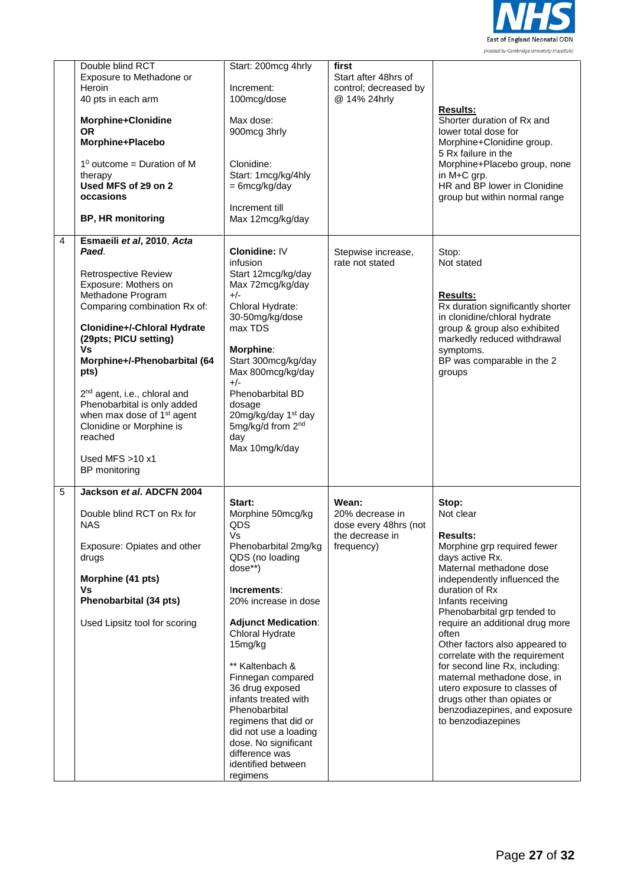

|   | Double blind RCT<br>Exposure to Methadone or<br>Heroin<br>40 pts in each arm<br>Morphine+Clonidine<br><b>OR</b><br>Morphine+Placebo<br>$1^0$ outcome = Duration of M<br>therapy<br>Used MFS of ≥9 on 2<br>occasions<br><b>BP, HR monitoring</b>                                                                                                                                                                                                                | Start: 200mcg 4hrly<br>Increment:<br>100mcg/dose<br>Max dose:<br>900mcg 3hrly<br>Clonidine:<br>Start: 1mcg/kg/4hly<br>$= 6 \text{mcg/kg/day}$<br>Increment till<br>Max 12mcg/kg/day                                                                                                                                                                                                                                                | first<br>Start after 48hrs of<br>control; decreased by<br>@ 14% 24hrly             | <b>Results:</b><br>Shorter duration of Rx and<br>lower total dose for<br>Morphine+Clonidine group.<br>5 Rx failure in the<br>Morphine+Placebo group, none<br>in M+C grp.<br>HR and BP lower in Clonidine<br>group but within normal range                                                                                                                                                                                                                                                                                       |
|---|----------------------------------------------------------------------------------------------------------------------------------------------------------------------------------------------------------------------------------------------------------------------------------------------------------------------------------------------------------------------------------------------------------------------------------------------------------------|------------------------------------------------------------------------------------------------------------------------------------------------------------------------------------------------------------------------------------------------------------------------------------------------------------------------------------------------------------------------------------------------------------------------------------|------------------------------------------------------------------------------------|---------------------------------------------------------------------------------------------------------------------------------------------------------------------------------------------------------------------------------------------------------------------------------------------------------------------------------------------------------------------------------------------------------------------------------------------------------------------------------------------------------------------------------|
| 4 | Esmaeili et al, 2010, Acta<br>Paed.<br><b>Retrospective Review</b><br>Exposure: Mothers on<br>Methadone Program<br>Comparing combination Rx of:<br>Clonidine+/-Chloral Hydrate<br>(29pts; PICU setting)<br><b>Vs</b><br>Morphine+/-Phenobarbital (64<br>pts)<br>2 <sup>nd</sup> agent, i.e., chloral and<br>Phenobarbital is only added<br>when max dose of 1 <sup>st</sup> agent<br>Clonidine or Morphine is<br>reached<br>Used MFS $>10$ x1<br>BP monitoring | <b>Clonidine: IV</b><br>infusion<br>Start 12mcg/kg/day<br>Max 72mcg/kg/day<br>$+/-$<br>Chloral Hydrate:<br>30-50mg/kg/dose<br>max TDS<br>Morphine:<br>Start 300mcg/kg/day<br>Max 800mcg/kg/day<br>$+/-$<br>Phenobarbital BD<br>dosage<br>20mg/kg/day 1 <sup>st</sup> day<br>5mg/kg/d from 2 <sup>nd</sup><br>day<br>Max 10mg/k/day                                                                                                 | Stepwise increase,<br>rate not stated                                              | Stop:<br>Not stated<br><b>Results:</b><br>Rx duration significantly shorter<br>in clonidine/chloral hydrate<br>group & group also exhibited<br>markedly reduced withdrawal<br>symptoms.<br>BP was comparable in the 2<br>groups                                                                                                                                                                                                                                                                                                 |
| 5 | Jackson et al. ADCFN 2004<br>Double blind RCT on Rx for<br><b>NAS</b><br>Exposure: Opiates and other<br>drugs<br>Morphine (41 pts)<br>٧s<br>Phenobarbital (34 pts)<br>Used Lipsitz tool for scoring                                                                                                                                                                                                                                                            | Start:<br>Morphine 50mcg/kg<br>QDS<br>Vs<br>Phenobarbital 2mg/kg<br>QDS (no loading<br>dose**)<br>Increments:<br>20% increase in dose<br><b>Adjunct Medication:</b><br>Chloral Hydrate<br>15mg/kg<br>** Kaltenbach &<br>Finnegan compared<br>36 drug exposed<br>infants treated with<br>Phenobarbital<br>regimens that did or<br>did not use a loading<br>dose. No significant<br>difference was<br>identified between<br>regimens | Wean:<br>20% decrease in<br>dose every 48hrs (not<br>the decrease in<br>frequency) | Stop:<br>Not clear<br><b>Results:</b><br>Morphine grp required fewer<br>days active Rx.<br>Maternal methadone dose<br>independently influenced the<br>duration of Rx<br>Infants receiving<br>Phenobarbital grp tended to<br>require an additional drug more<br>often<br>Other factors also appeared to<br>correlate with the requirement<br>for second line Rx, including:<br>maternal methadone dose, in<br>utero exposure to classes of<br>drugs other than opiates or<br>benzodiazepines, and exposure<br>to benzodiazepines |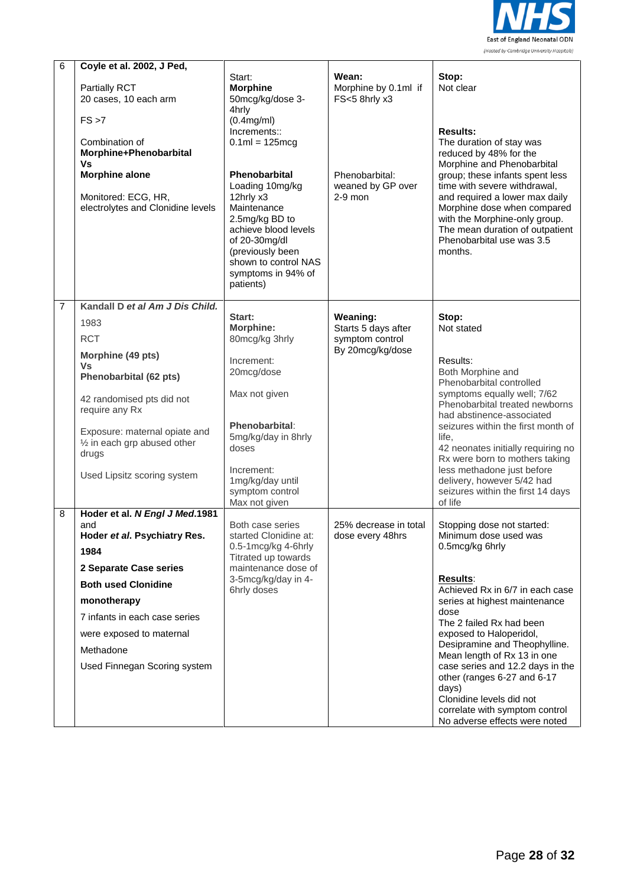

| 6              | Coyle et al. 2002, J Ped,                                                                                                                                                                                                                                                 |                                                                                                                                                                                                                                                                                                                    |                                                                                                    |                                                                                                                                                                                                                                                                                                                                                                                                                                                                         |
|----------------|---------------------------------------------------------------------------------------------------------------------------------------------------------------------------------------------------------------------------------------------------------------------------|--------------------------------------------------------------------------------------------------------------------------------------------------------------------------------------------------------------------------------------------------------------------------------------------------------------------|----------------------------------------------------------------------------------------------------|-------------------------------------------------------------------------------------------------------------------------------------------------------------------------------------------------------------------------------------------------------------------------------------------------------------------------------------------------------------------------------------------------------------------------------------------------------------------------|
|                | Partially RCT<br>20 cases, 10 each arm<br>FS > 7<br>Combination of<br>Morphine+Phenobarbital<br>Vs<br><b>Morphine alone</b><br>Monitored: ECG, HR,<br>electrolytes and Clonidine levels                                                                                   | Start:<br><b>Morphine</b><br>50mcg/kg/dose 3-<br>4hrly<br>(0.4mg/ml)<br>Increments::<br>$0.1ml = 125mcg$<br>Phenobarbital<br>Loading 10mg/kg<br>12hrly x3<br>Maintenance<br>2.5mg/kg BD to<br>achieve blood levels<br>of 20-30mg/dl<br>(previously been<br>shown to control NAS<br>symptoms in 94% of<br>patients) | Wean:<br>Morphine by 0.1ml if<br>FS<5 8hrly x3<br>Phenobarbital:<br>weaned by GP over<br>$2-9$ mon | Stop:<br>Not clear<br><b>Results:</b><br>The duration of stay was<br>reduced by 48% for the<br>Morphine and Phenobarbital<br>group; these infants spent less<br>time with severe withdrawal,<br>and required a lower max daily<br>Morphine dose when compared<br>with the Morphine-only group.<br>The mean duration of outpatient<br>Phenobarbital use was 3.5<br>months.                                                                                               |
| $\overline{7}$ | Kandall D et al Am J Dis Child.<br>1983<br><b>RCT</b><br>Morphine (49 pts)<br><b>Vs</b><br>Phenobarbital (62 pts)<br>42 randomised pts did not<br>require any Rx<br>Exposure: maternal opiate and<br>1/2 in each grp abused other<br>drugs<br>Used Lipsitz scoring system | Start:<br>Morphine:<br>80mcg/kg 3hrly<br>Increment:<br>20mcg/dose<br>Max not given<br>Phenobarbital:<br>5mg/kg/day in 8hrly<br>doses<br>Increment:<br>1mg/kg/day until<br>symptom control<br>Max not given                                                                                                         | Weaning:<br>Starts 5 days after<br>symptom control<br>By 20mcg/kg/dose                             | Stop:<br>Not stated<br>Results:<br>Both Morphine and<br>Phenobarbital controlled<br>symptoms equally well; 7/62<br>Phenobarbital treated newborns<br>had abstinence-associated<br>seizures within the first month of<br>life.<br>42 neonates initially requiring no<br>Rx were born to mothers taking<br>less methadone just before<br>delivery, however 5/42 had<br>seizures within the first 14 days<br>of life                                                       |
| 8              | Hoder et al. N Engl J Med.1981<br>and<br>Hoder et al. Psychiatry Res.<br>1984<br>2 Separate Case series<br><b>Both used Clonidine</b><br>monotherapy<br>7 infants in each case series<br>were exposed to maternal<br>Methadone<br>Used Finnegan Scoring system            | Both case series<br>started Clonidine at:<br>0.5-1mcg/kg 4-6hrly<br>Titrated up towards<br>maintenance dose of<br>3-5mcg/kg/day in 4-<br>6hrly doses                                                                                                                                                               | 25% decrease in total<br>dose every 48hrs                                                          | Stopping dose not started:<br>Minimum dose used was<br>0.5mcg/kg 6hrly<br><b>Results:</b><br>Achieved Rx in 6/7 in each case<br>series at highest maintenance<br>dose<br>The 2 failed Rx had been<br>exposed to Haloperidol,<br>Desipramine and Theophylline.<br>Mean length of Rx 13 in one<br>case series and 12.2 days in the<br>other (ranges 6-27 and 6-17<br>days)<br>Clonidine levels did not<br>correlate with symptom control<br>No adverse effects were noted |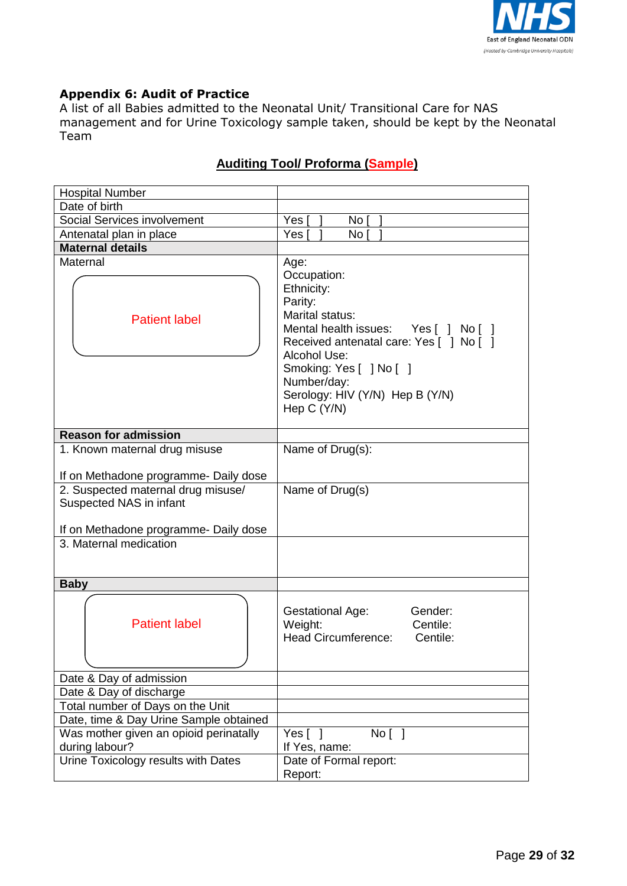

# **Appendix 6: Audit of Practice**

A list of all Babies admitted to the Neonatal Unit/ Transitional Care for NAS management and for Urine Toxicology sample taken, should be kept by the Neonatal Team

| <b>Hospital Number</b>                                                                                                           |                                                                                                                                                                                                                                                                |  |  |
|----------------------------------------------------------------------------------------------------------------------------------|----------------------------------------------------------------------------------------------------------------------------------------------------------------------------------------------------------------------------------------------------------------|--|--|
| Date of birth                                                                                                                    |                                                                                                                                                                                                                                                                |  |  |
| Social Services involvement                                                                                                      | Yes I<br>No [                                                                                                                                                                                                                                                  |  |  |
| Antenatal plan in place                                                                                                          | No I<br>Yes                                                                                                                                                                                                                                                    |  |  |
| <b>Maternal details</b>                                                                                                          |                                                                                                                                                                                                                                                                |  |  |
| Maternal<br><b>Patient label</b>                                                                                                 | Age:<br>Occupation:<br>Ethnicity:<br>Parity:<br>Marital status:<br>Mental health issues: Yes [ ] No [ ]<br>Received antenatal care: Yes [ ] No [ ]<br>Alcohol Use:<br>Smoking: Yes [ ] No [ ]<br>Number/day:<br>Serology: HIV (Y/N) Hep B (Y/N)<br>Hep C (Y/N) |  |  |
| <b>Reason for admission</b>                                                                                                      |                                                                                                                                                                                                                                                                |  |  |
| 1. Known maternal drug misuse                                                                                                    | Name of Drug(s):                                                                                                                                                                                                                                               |  |  |
|                                                                                                                                  |                                                                                                                                                                                                                                                                |  |  |
| If on Methadone programme- Daily dose                                                                                            |                                                                                                                                                                                                                                                                |  |  |
| 2. Suspected maternal drug misuse/<br>Suspected NAS in infant<br>If on Methadone programme- Daily dose<br>3. Maternal medication | Name of Drug(s)                                                                                                                                                                                                                                                |  |  |
|                                                                                                                                  |                                                                                                                                                                                                                                                                |  |  |
| <b>Baby</b>                                                                                                                      |                                                                                                                                                                                                                                                                |  |  |
| <b>Patient label</b>                                                                                                             | Gender:<br>Gestational Age:<br>Centile:<br>Weight:<br><b>Head Circumference:</b><br>Centile:                                                                                                                                                                   |  |  |
| Date & Day of admission                                                                                                          |                                                                                                                                                                                                                                                                |  |  |
| Date & Day of discharge                                                                                                          |                                                                                                                                                                                                                                                                |  |  |
| Total number of Days on the Unit                                                                                                 |                                                                                                                                                                                                                                                                |  |  |
| Date, time & Day Urine Sample obtained                                                                                           |                                                                                                                                                                                                                                                                |  |  |
| Was mother given an opioid perinatally                                                                                           | Yes $[ ]$<br>No [ ]                                                                                                                                                                                                                                            |  |  |
| during labour?                                                                                                                   | If Yes, name:                                                                                                                                                                                                                                                  |  |  |
| Urine Toxicology results with Dates                                                                                              | Date of Formal report:<br>Report:                                                                                                                                                                                                                              |  |  |

# **Auditing Tool/ Proforma (Sample)**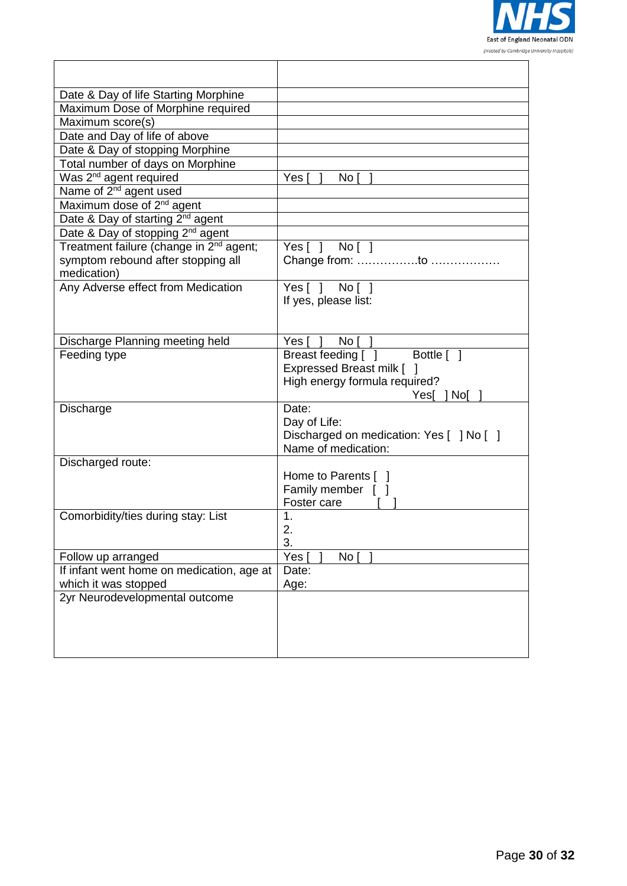

| Date & Day of life Starting Morphine                |                                          |
|-----------------------------------------------------|------------------------------------------|
| Maximum Dose of Morphine required                   |                                          |
| Maximum score(s)                                    |                                          |
| Date and Day of life of above                       |                                          |
| Date & Day of stopping Morphine                     |                                          |
| Total number of days on Morphine                    |                                          |
| Was 2 <sup>nd</sup> agent required                  | Yes [<br>No I                            |
| Name of 2 <sup>nd</sup> agent used                  |                                          |
| Maximum dose of 2 <sup>nd</sup> agent               |                                          |
| Date & Day of starting 2 <sup>nd</sup> agent        |                                          |
| Date & Day of stopping 2 <sup>nd</sup> agent        |                                          |
| Treatment failure (change in 2 <sup>nd</sup> agent; | Yes[] No[]                               |
| symptom rebound after stopping all                  | Change from: to                          |
| medication)                                         |                                          |
| Any Adverse effect from Medication                  | Yes[ ] No[ ]                             |
|                                                     | If yes, please list:                     |
|                                                     |                                          |
|                                                     |                                          |
| Discharge Planning meeting held                     | No I<br>Yes [                            |
| Feeding type                                        | Breast feeding [ ] Bottle [ ]            |
|                                                     | Expressed Breast milk [                  |
|                                                     | High energy formula required?            |
|                                                     | Yes[   No[                               |
| Discharge                                           | Date:                                    |
|                                                     | Day of Life:                             |
|                                                     | Discharged on medication: Yes [ ] No [ ] |
|                                                     | Name of medication:                      |
| Discharged route:                                   |                                          |
|                                                     | Home to Parents [ ]                      |
|                                                     | Family member [<br>Foster care           |
| Comorbidity/ties during stay: List                  | 1.                                       |
|                                                     | 2.                                       |
|                                                     | 3.                                       |
| Follow up arranged                                  | Yes<br>No <sub>1</sub>                   |
| If infant went home on medication, age at           | Date:                                    |
| which it was stopped                                | Age:                                     |
| 2yr Neurodevelopmental outcome                      |                                          |
|                                                     |                                          |
|                                                     |                                          |
|                                                     |                                          |
|                                                     |                                          |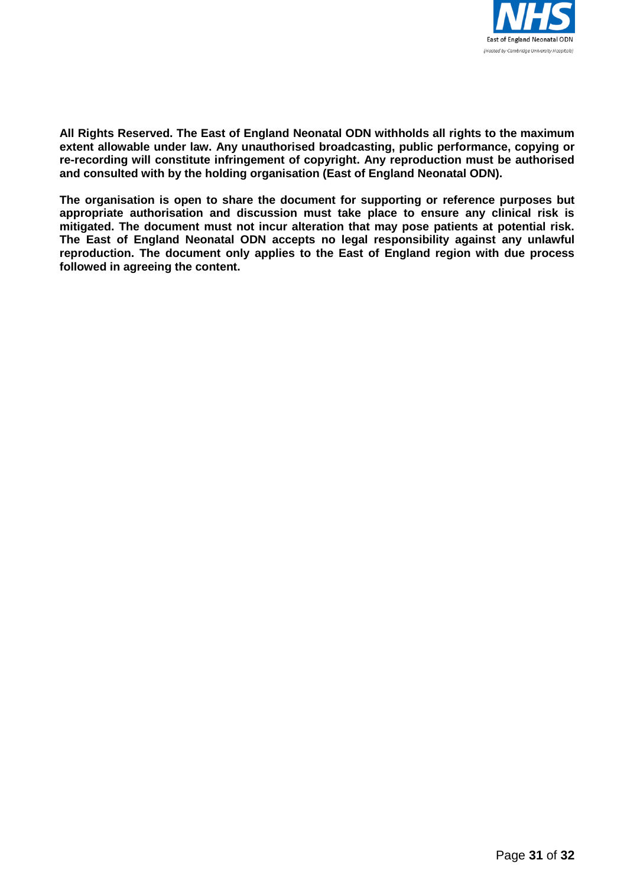

**All Rights Reserved. The East of England Neonatal ODN withholds all rights to the maximum extent allowable under law. Any unauthorised broadcasting, public performance, copying or re-recording will constitute infringement of copyright. Any reproduction must be authorised and consulted with by the holding organisation (East of England Neonatal ODN).**

**The organisation is open to share the document for supporting or reference purposes but appropriate authorisation and discussion must take place to ensure any clinical risk is mitigated. The document must not incur alteration that may pose patients at potential risk. The East of England Neonatal ODN accepts no legal responsibility against any unlawful reproduction. The document only applies to the East of England region with due process followed in agreeing the content.**